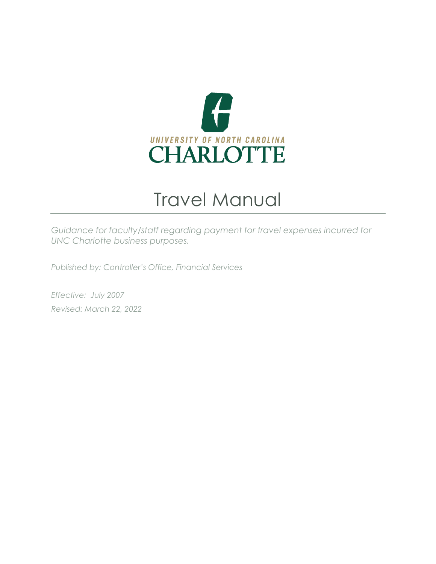

# Travel Manual

*Guidance for faculty/staff regarding payment for travel expenses incurred for UNC Charlotte business purposes.*

*Published by: Controller's Office, Financial Services*

*Effective: July 2007 Revised: March 22, 2022*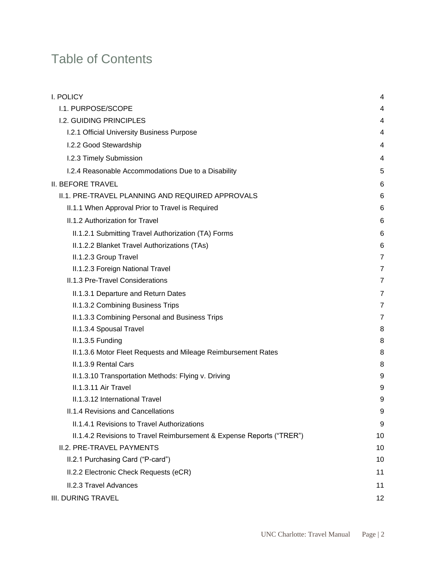# Table of Contents

| <b>I. POLICY</b>                                                      | 4  |
|-----------------------------------------------------------------------|----|
| I.1. PURPOSE/SCOPE                                                    | 4  |
| <b>I.2. GUIDING PRINCIPLES</b>                                        | 4  |
| I.2.1 Official University Business Purpose                            | 4  |
| I.2.2 Good Stewardship                                                | 4  |
| I.2.3 Timely Submission                                               | 4  |
| I.2.4 Reasonable Accommodations Due to a Disability                   | 5  |
| <b>II. BEFORE TRAVEL</b>                                              | 6  |
| II.1. PRE-TRAVEL PLANNING AND REQUIRED APPROVALS                      | 6  |
| II.1.1 When Approval Prior to Travel is Required                      | 6  |
| II.1.2 Authorization for Travel                                       | 6  |
| II.1.2.1 Submitting Travel Authorization (TA) Forms                   | 6  |
| II.1.2.2 Blanket Travel Authorizations (TAs)                          | 6  |
| II.1.2.3 Group Travel                                                 | 7  |
| II.1.2.3 Foreign National Travel                                      | 7  |
| II.1.3 Pre-Travel Considerations                                      | 7  |
| II.1.3.1 Departure and Return Dates                                   | 7  |
| II.1.3.2 Combining Business Trips                                     | 7  |
| II.1.3.3 Combining Personal and Business Trips                        | 7  |
| II.1.3.4 Spousal Travel                                               | 8  |
| II.1.3.5 Funding                                                      | 8  |
| II.1.3.6 Motor Fleet Requests and Mileage Reimbursement Rates         | 8  |
| II.1.3.9 Rental Cars                                                  | 8  |
| II.1.3.10 Transportation Methods: Flying v. Driving                   | 9  |
| II.1.3.11 Air Travel                                                  | 9  |
| II.1.3.12 International Travel                                        | 9  |
| II.1.4 Revisions and Cancellations                                    | 9  |
| II.1.4.1 Revisions to Travel Authorizations                           | 9  |
| II.1.4.2 Revisions to Travel Reimbursement & Expense Reports ("TRER") | 10 |
| II.2. PRE-TRAVEL PAYMENTS                                             | 10 |
| II.2.1 Purchasing Card ("P-card")                                     | 10 |
| II.2.2 Electronic Check Requests (eCR)                                | 11 |
| II.2.3 Travel Advances                                                | 11 |
| <b>III. DURING TRAVEL</b>                                             | 12 |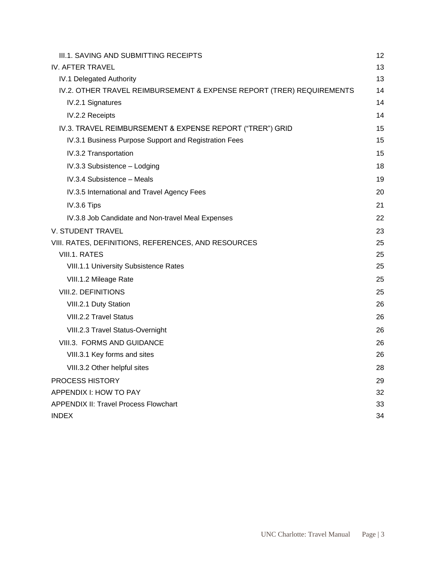| III.1. SAVING AND SUBMITTING RECEIPTS                                 | 12 |
|-----------------------------------------------------------------------|----|
| <b>IV. AFTER TRAVEL</b>                                               | 13 |
| IV.1 Delegated Authority                                              | 13 |
| IV.2. OTHER TRAVEL REIMBURSEMENT & EXPENSE REPORT (TRER) REQUIREMENTS | 14 |
| IV.2.1 Signatures                                                     | 14 |
| IV.2.2 Receipts                                                       | 14 |
| IV.3. TRAVEL REIMBURSEMENT & EXPENSE REPORT ("TRER") GRID             | 15 |
| IV.3.1 Business Purpose Support and Registration Fees                 | 15 |
| IV.3.2 Transportation                                                 | 15 |
| IV.3.3 Subsistence - Lodging                                          | 18 |
| IV.3.4 Subsistence - Meals                                            | 19 |
| IV.3.5 International and Travel Agency Fees                           | 20 |
| IV.3.6 Tips                                                           | 21 |
| IV.3.8 Job Candidate and Non-travel Meal Expenses                     | 22 |
| <b>V. STUDENT TRAVEL</b>                                              | 23 |
| VIII. RATES, DEFINITIONS, REFERENCES, AND RESOURCES                   | 25 |
| VIII.1. RATES                                                         | 25 |
| <b>VIII.1.1 University Subsistence Rates</b>                          | 25 |
| VIII.1.2 Mileage Rate                                                 | 25 |
| <b>VIII.2. DEFINITIONS</b>                                            | 25 |
| VIII.2.1 Duty Station                                                 | 26 |
| VIII.2.2 Travel Status                                                | 26 |
| VIII.2.3 Travel Status-Overnight                                      | 26 |
| VIII.3. FORMS AND GUIDANCE                                            | 26 |
| VIII.3.1 Key forms and sites                                          | 26 |
| VIII.3.2 Other helpful sites                                          | 28 |
| PROCESS HISTORY                                                       | 29 |
| APPENDIX I: HOW TO PAY                                                | 32 |
| <b>APPENDIX II: Travel Process Flowchart</b>                          | 33 |
| <b>INDEX</b>                                                          | 34 |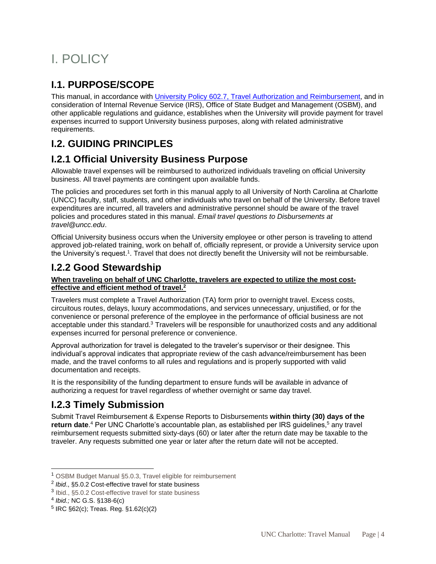# <span id="page-3-0"></span>I. POLICY

## <span id="page-3-1"></span>**I.1. PURPOSE/SCOPE**

This manual, in accordance with University Policy 602.7, Travel Authorization and Reimbursement, and in consideration of Internal Revenue Service (IRS), Office of State Budget and Management (OSBM), and other applicable regulations and guidance, establishes when the University will provide payment for travel expenses incurred to support University business purposes, along with related administrative requirements.

### <span id="page-3-2"></span>**I.2. GUIDING PRINCIPLES**

### <span id="page-3-3"></span>**I.2.1 Official University Business Purpose**

Allowable travel expenses will be reimbursed to authorized individuals traveling on official University business. All travel payments are contingent upon available funds.

The policies and procedures set forth in this manual apply to all University of North Carolina at Charlotte (UNCC) faculty, staff, students, and other individuals who travel on behalf of the University. Before travel expenditures are incurred, all travelers and administrative personnel should be aware of the travel policies and procedures stated in this manual. *Email travel questions to Disbursements at [travel@uncc.edu](mailto:travel@uncc.edu)*.

Official University business occurs when the University employee or other person is traveling to attend approved job-related training, work on behalf of, officially represent, or provide a University service upon the University's request.<sup>1</sup>. Travel that does not directly benefit the University will not be reimbursable.

### <span id="page-3-4"></span>**I.2.2 Good Stewardship**

#### **When traveling on behalf of UNC Charlotte, travelers are expected to utilize the most costeffective and efficient method of travel.<sup>2</sup>**

Travelers must complete a Travel Authorization (TA) form prior to overnight travel. Excess costs, circuitous routes, delays, luxury accommodations, and services unnecessary, unjustified, or for the convenience or personal preference of the employee in the performance of official business are not acceptable under this standard.<sup>3</sup> Travelers will be responsible for unauthorized costs and any additional expenses incurred for personal preference or convenience.

Approval authorization for travel is delegated to the traveler's supervisor or their designee. This individual's approval indicates that appropriate review of the cash advance/reimbursement has been made, and the travel conforms to all rules and regulations and is properly supported with valid documentation and receipts.

It is the responsibility of the funding department to ensure funds will be available in advance of authorizing a request for travel regardless of whether overnight or same day travel.

### <span id="page-3-5"></span>**I.2.3 Timely Submission**

Submit Travel Reimbursement & Expense Reports to Disbursements **within thirty (30) days of the**  return date.<sup>4</sup> Per UNC Charlotte's accountable plan, as established per IRS guidelines,<sup>5</sup> any travel reimbursement requests submitted sixty-days (60) or later after the return date may be taxable to the traveler. Any requests submitted one year or later after the return date will not be accepted.

<sup>1</sup> OSBM Budget Manual §5.0.3, Travel eligible for reimbursement

<sup>2</sup> *Ibid*., §5.0.2 Cost-effective travel for state business

<sup>&</sup>lt;sup>3</sup> Ibid., §5.0.2 Cost-effective travel for state business

<sup>4</sup> *Ibid.;* NC G.S. §138-6(c)

<sup>5</sup> IRC §62(c); Treas. Reg. §1.62(c)(2)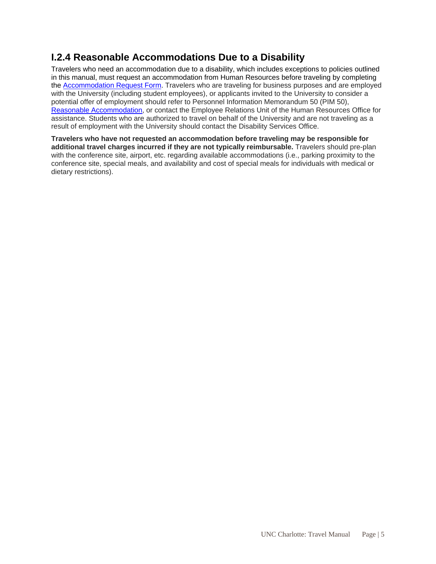## <span id="page-4-0"></span>**I.2.4 Reasonable Accommodations Due to a Disability**

Travelers who need an accommodation due to a disability, which includes exceptions to policies outlined in this manual, must request an accommodation from Human Resources before traveling by completing the [Accommodation Request Form.](https://hr.charlotte.edu/forms/other) Travelers who are traveling for business purposes and are employed with the University (including student employees), or applicants invited to the University to consider a potential offer of employment should refer to Personnel Information Memorandum 50 (PIM 50), [Reasonable Accommodation,](https://hr.charlotte.edu/pims/reasonable-accommodation) or contact the Employee Relations Unit of the Human Resources Office for assistance. Students who are authorized to travel on behalf of the University and are not traveling as a result of employment with the University should contact the Disability Services Office.

**Travelers who have not requested an accommodation before traveling may be responsible for additional travel charges incurred if they are not typically reimbursable.** Travelers should pre-plan with the conference site, airport, etc. regarding available accommodations (i.e., parking proximity to the conference site, special meals, and availability and cost of special meals for individuals with medical or dietary restrictions).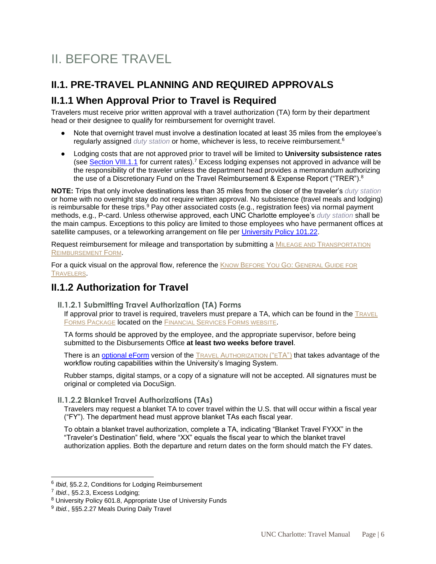# <span id="page-5-0"></span>II. BEFORE TRAVEL

## <span id="page-5-1"></span>**II.1. PRE-TRAVEL PLANNING AND REQUIRED APPROVALS**

### <span id="page-5-2"></span>**II.1.1 When Approval Prior to Travel is Required**

Travelers must receive prior written approval with a travel authorization (TA) form by their department head or their designee to qualify for reimbursement for overnight travel.

- Note that overnight travel must involve a destination located at least 35 miles from the employee's regularly assigned *duty station* or home, whichever is less, to receive reimbursement.<sup>6</sup>
- Lodging costs that are not approved prior to travel will be limited to **University subsistence rates** (see [Section VIII.1.1](#page-24-0) for current rates).<sup>7</sup> Excess lodging expenses not approved in advance will be the responsibility of the traveler unless the department head provides a memorandum authorizing the use of a Discretionary Fund on the Travel Reimbursement & Expense Report ("TRER"). $^8$

**NOTE:** Trips that only involve destinations less than 35 miles from the closer of the traveler's *duty station* or home with no overnight stay do not require written approval. No subsistence (travel meals and lodging) is reimbursable for these trips.<sup>9</sup> Pay other associated costs (e.g., registration fees) via normal payment methods, e.g., P-card. Unless otherwise approved, each UNC Charlotte employee's *duty station* shall be the main campus. Exceptions to this policy are limited to those employees who have permanent offices at satellite campuses, or a teleworking arrangement on file per [University Policy 101.22.](https://legal.charlotte.edu/policies/up-101.22)

Request reimbursement for mileage and transportation by submitting a MILEAGE AND TRANSPORTATION REIMBURSEMENT FORM.

For a quick visual on the approval flow, reference the KNOW BEFORE YOU GO: GENERAL GUIDE FOR TRAVELERS.

### <span id="page-5-3"></span>**II.1.2 Authorization for Travel**

<span id="page-5-4"></span>**II.1.2.1 Submitting Travel Authorization (TA) Forms**

If approval prior to travel is required, travelers must prepare a TA, which can be found in the TRAVEL FORMS PACKAGE **located on the FINANCIAL SERVICES FORMS WEBSITE.** 

TA forms should be approved by the employee, and the appropriate supervisor, before being submitted to the Disbursements Office **at least two weeks before travel**.

There is an [optional eForm](https://spaces.charlotte.edu/pages/viewpage.action?pageId=11927818) version of the TRAVEL AUTHORIZATION ("ETA") that takes advantage of the workflow routing capabilities within the University's Imaging System.

Rubber stamps, digital stamps, or a copy of a signature will not be accepted. All signatures must be original or completed via DocuSign.

#### <span id="page-5-5"></span>**II.1.2.2 Blanket Travel Authorizations (TAs)**

Travelers may request a blanket TA to cover travel within the U.S. that will occur within a fiscal year ("FY"). The department head must approve blanket TAs each fiscal year.

To obtain a blanket travel authorization, complete a TA, indicating "Blanket Travel FYXX" in the "Traveler's Destination" field, where "XX" equals the fiscal year to which the blanket travel authorization applies. Both the departure and return dates on the form should match the FY dates.

<sup>6</sup> *Ibid*, §5.2.2, Conditions for Lodging Reimbursement

<sup>7</sup> *Ibid*., §5.2.3, Excess Lodging;

<sup>8</sup> University Policy 601.8, Appropriate Use of University Funds

<sup>9</sup> *Ibid.*, §§5.2.27 Meals During Daily Travel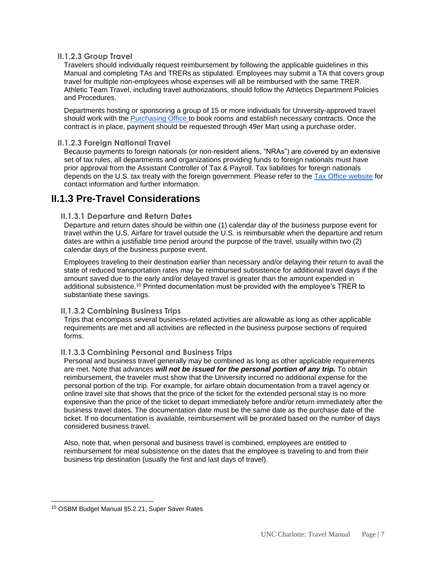#### <span id="page-6-0"></span>**II.1.2.3 Group Travel**

Travelers should individually request reimbursement by following the applicable guidelines in this Manual and completing TAs and TRERs as stipulated. Employees may submit a TA that covers group travel for multiple non-employees whose expenses will all be reimbursed with the same TRER. Athletic Team Travel, including travel authorizations, should follow the Athletics Department Policies and Procedures.

Departments hosting or sponsoring a group of 15 or more individuals for University-approved travel should work with the [Purchasing Office](https://finance.charlotte.edu/about-us/offices/materials-management/purchasing) to book rooms and establish necessary contracts. Once the contract is in place, payment should be requested through 49er Mart using a purchase order.

#### <span id="page-6-1"></span>**II.1.2.3 Foreign National Travel**

Because payments to foreign nationals (or non-resident aliens, "NRAs") are covered by an extensive set of tax rules, all departments and organizations providing funds to foreign nationals must have prior approval from the Assistant Controller of Tax & Payroll. Tax liabilities for foreign nationals depends on the U.S. tax treaty with the foreign government. Please refer to the [Tax Office website](https://finance.charlotte.edu/about-us/offices/controllers-office/tax-office) for contact information and further information.

### <span id="page-6-3"></span><span id="page-6-2"></span>**II.1.3 Pre-Travel Considerations**

#### **II.1.3.1 Departure and Return Dates**

Departure and return dates should be within one (1) calendar day of the business purpose event for travel within the U.S. Airfare for travel outside the U.S. is reimbursable when the departure and return dates are within a justifiable time period around the purpose of the travel, usually within two (2) calendar days of the business purpose event.

Employees traveling to their destination earlier than necessary and/or delaying their return to avail the state of reduced transportation rates may be reimbursed subsistence for additional travel days if the amount saved due to the early and/or delayed travel is greater than the amount expended in additional subsistence.<sup>10</sup> Printed documentation must be provided with the employee's TRER to substantiate these savings.

#### <span id="page-6-4"></span>**II.1.3.2 Combining Business Trips**

Trips that encompass several business-related activities are allowable as long as other applicable requirements are met and all activities are reflected in the business purpose sections of required forms.

#### <span id="page-6-5"></span>**II.1.3.3 Combining Personal and Business Trips**

Personal and business travel generally may be combined as long as other applicable requirements are met. Note that advances *will not be issued for the personal portion of any trip.* To obtain reimbursement, the traveler must show that the University incurred no additional expense for the personal portion of the trip. For example, for airfare obtain documentation from a travel agency or online travel site that shows that the price of the ticket for the extended personal stay is no more expensive than the price of the ticket to depart immediately before and/or return immediately after the business travel dates. The documentation date must be the same date as the purchase date of the ticket. If no documentation is available, reimbursement will be prorated based on the number of days considered business travel.

Also, note that, when personal and business travel is combined, employees are entitled to reimbursement for meal subsistence on the dates that the employee is traveling to and from their business trip destination (usually the first and last days of travel).

<sup>10</sup> OSBM Budget Manual §5.2.21, Super Saver Rates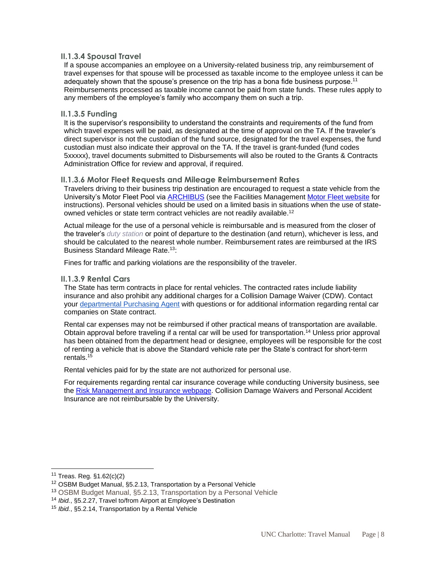#### <span id="page-7-0"></span>**II.1.3.4 Spousal Travel**

If a spouse accompanies an employee on a University-related business trip, any reimbursement of travel expenses for that spouse will be processed as taxable income to the employee unless it can be adequately shown that the spouse's presence on the trip has a bona fide business purpose.<sup>11</sup> Reimbursements processed as taxable income cannot be paid from state funds. These rules apply to any members of the employee's family who accompany them on such a trip.

#### <span id="page-7-1"></span>**II.1.3.5 Funding**

It is the supervisor's responsibility to understand the constraints and requirements of the fund from which travel expenses will be paid, as designated at the time of approval on the TA. If the traveler's direct supervisor is not the custodian of the fund source, designated for the travel expenses, the fund custodian must also indicate their approval on the TA. If the travel is grant-funded (fund codes 5xxxxx), travel documents submitted to Disbursements will also be routed to the Grants & Contracts Administration Office for review and approval, if required.

#### <span id="page-7-2"></span>**II.1.3.6 Motor Fleet Requests and Mileage Reimbursement Rates**

Travelers driving to their business trip destination are encouraged to request a state vehicle from the University's Motor Fleet Pool via [ARCHIBUS](https://archibus.uncc.edu/archibus) (see the Facilities Management [Motor Fleet website](https://facilities.charlotte.edu/our-services/general-services/facilities-operations/services-and-shops/motor-fleet) for instructions). Personal vehicles should be used on a limited basis in situations when the use of stateowned vehicles or state term contract vehicles are not readily available.<sup>12</sup>

Actual mileage for the use of a personal vehicle is reimbursable and is measured from the closer of the traveler's *duty station* or point of departure to the destination (and return), whichever is less, and should be calculated to the nearest whole number. Reimbursement rates are reimbursed at the IRS Business Standard Mileage Rate.<sup>13</sup>:

Fines for traffic and parking violations are the responsibility of the traveler.

#### <span id="page-7-3"></span>**II.1.3.9 Rental Cars**

The State has term contracts in place for rental vehicles. The contracted rates include liability insurance and also prohibit any additional charges for a Collision Damage Waiver (CDW). Contact your [departmental Purchasing Agent](https://finance.charlotte.edu/about-us/offices/materials-management/purchasing) with questions or for additional information regarding rental car companies on State contract.

Rental car expenses may not be reimbursed if other practical means of transportation are available. Obtain approval before traveling if a rental car will be used for transportation.<sup>14</sup> Unless prior approval has been obtained from the department head or designee, employees will be responsible for the cost of renting a vehicle that is above the Standard vehicle rate per the State's contract for short-term rentals. $15$ 

Rental vehicles paid for by the state are not authorized for personal use.

For requirements regarding rental car insurance coverage while conducting University business, see the [Risk Management and Insurance webpage.](https://rmi.charlotte.edu/insurance) Collision Damage Waivers and Personal Accident Insurance are not reimbursable by the University.

<sup>11</sup> Treas. Reg. §1.62(c)(2)

<sup>12</sup> OSBM Budget Manual, §5.2.13, Transportation by a Personal Vehicle

<sup>13</sup> OSBM Budget Manual, §5.2.13, Transportation by a Personal Vehicle

<sup>14</sup> *Ibid.*, §5.2.27, Travel to/from Airport at Employee's Destination

<sup>15</sup> *Ibid.*, §5.2.14, Transportation by a Rental Vehicle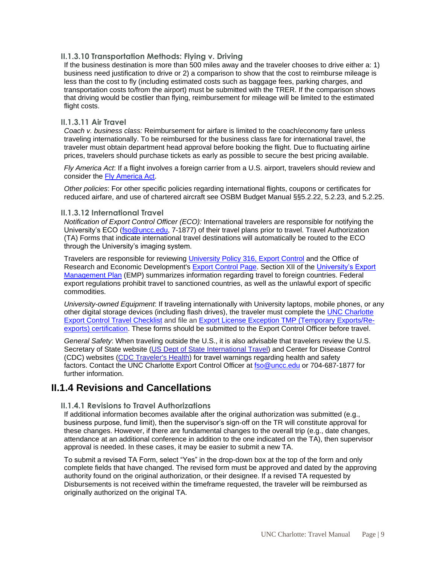#### <span id="page-8-0"></span>**II.1.3.10 Transportation Methods: Flying v. Driving**

If the business destination is more than 500 miles away and the traveler chooses to drive either a: 1) business need justification to drive or 2) a comparison to show that the cost to reimburse mileage is less than the cost to fly (including estimated costs such as baggage fees, parking charges, and transportation costs to/from the airport) must be submitted with the TRER. If the comparison shows that driving would be costlier than flying, reimbursement for mileage will be limited to the estimated flight costs.

#### <span id="page-8-1"></span>**II.1.3.11 Air Travel**

*Coach v. business class:* Reimbursement for airfare is limited to the coach/economy fare unless traveling internationally. To be reimbursed for the business class fare for international travel, the traveler must obtain department head approval before booking the flight. Due to fluctuating airline prices, travelers should purchase tickets as early as possible to secure the best pricing available.

*Fly America Act*: If a flight involves a foreign carrier from a U.S. airport, travelers should review and consider the [Fly America Act.](https://gsa.gov/portal/content/103191)

*Other policies*: For other specific policies regarding international flights, coupons or certificates for reduced airfare, and use of chartered aircraft see OSBM Budget Manual §§5.2.22, 5.2.23, and 5.2.25.

#### <span id="page-8-2"></span>**II.1.3.12 International Travel**

*Notification of Export Control Officer (ECO):* International travelers are responsible for notifying the University's ECO [\(fso@uncc.edu,](mailto:fso@uncc.edu) 7-1877) of their travel plans prior to travel. Travel Authorization (TA) Forms that indicate international travel destinations will automatically be routed to the ECO through the University's imaging system.

Travelers are responsible for reviewing [University Policy 316, Export Control](https://legal.charlotte.edu/policies/up-316) and the Office of Research and Economic Development's [Export Control Page.](https://research.charlotte.edu/departments/office-research-protections-and-integrity-orpi/export-control) Section XII of the [University's Export](https://research.uncc.edu/sites/research.uncc.edu/files/media/files/export/ExportMgmtPlan%2004.03.17.pdf)  [Management Plan](https://research.uncc.edu/sites/research.uncc.edu/files/media/files/export/ExportMgmtPlan%2004.03.17.pdf) (EMP) summarizes information regarding travel to foreign countries. Federal export regulations prohibit travel to sanctioned countries, as well as the unlawful export of specific commodities.

*University-owned Equipment*: If traveling internationally with University laptops, mobile phones, or any other digital storage devices (including flash drives), the traveler must complete the [UNC Charlotte](https://docs.google.com/forms/d/1SDMsrNV7O_1q5Maqx5JAOhwvkRHdgs-pV8dm5JahvOY/edit?usp=sharing)  Export Control Travel Checklist [and file an Export License Exception TMP \(Temporary Exports/Re](https://docs.google.com/forms/d/1SDMsrNV7O_1q5Maqx5JAOhwvkRHdgs-pV8dm5JahvOY/edit?usp=sharing)[exports\) certification.](https://docs.google.com/forms/d/1SDMsrNV7O_1q5Maqx5JAOhwvkRHdgs-pV8dm5JahvOY/edit?usp=sharing) These forms should be submitted to the Export Control Officer before travel.

*General Safety*: When traveling outside the U.S., it is also advisable that travelers review the U.S. Secretary of State website [\(US Dept of State International Travel\)](http://travel.state.gov/travel/travel_1744.html) and Center for Disease Control (CDC) websites [\(CDC Traveler's Health\)](http://wwwnc.cdc.gov/travel/) for travel warnings regarding health and safety factors. Contact the UNC Charlotte Export Control Officer at [fso@uncc.edu](mailto:fso@uncc.edu) or 704-687-1877 for further information.

### <span id="page-8-4"></span><span id="page-8-3"></span>**II.1.4 Revisions and Cancellations**

#### **II.1.4.1 Revisions to Travel Authorizations**

If additional information becomes available after the original authorization was submitted (e.g., business purpose, fund limit), then the supervisor's sign-off on the TR will constitute approval for these changes. However, if there are fundamental changes to the overall trip (e.g., date changes, attendance at an additional conference in addition to the one indicated on the TA), then supervisor approval is needed. In these cases, it may be easier to submit a new TA.

To submit a revised TA Form, select "Yes" in the drop-down box at the top of the form and only complete fields that have changed. The revised form must be approved and dated by the approving authority found on the original authorization, or their designee. If a revised TA requested by Disbursements is not received within the timeframe requested, the traveler will be reimbursed as originally authorized on the original TA.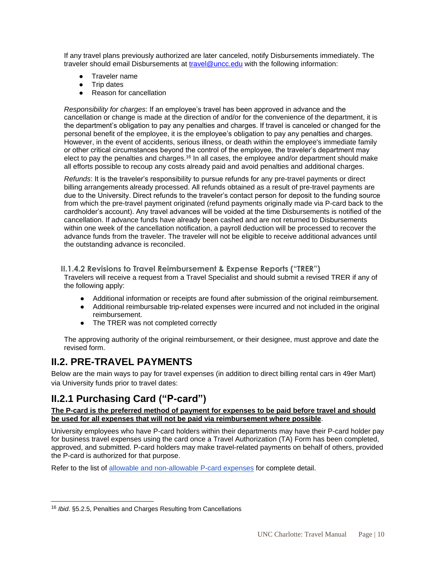If any travel plans previously authorized are later canceled, notify Disbursements immediately. The traveler should email Disbursements at [travel@uncc.edu](mailto:travel@uncc.edu) with the following information:

- Traveler name
- **Trip dates**
- **Reason for cancellation**

*Responsibility for charges*: If an employee's travel has been approved in advance and the cancellation or change is made at the direction of and/or for the convenience of the department, it is the department's obligation to pay any penalties and charges. If travel is canceled or changed for the personal benefit of the employee, it is the employee's obligation to pay any penalties and charges. However, in the event of accidents, serious illness, or death within the employee's immediate family or other critical circumstances beyond the control of the employee, the traveler's department may elect to pay the penalties and charges.<sup>16</sup> In all cases, the employee and/or department should make all efforts possible to recoup any costs already paid and avoid penalties and additional charges.

*Refunds*: It is the traveler's responsibility to pursue refunds for any pre-travel payments or direct billing arrangements already processed. All refunds obtained as a result of pre-travel payments are due to the University. Direct refunds to the traveler's contact person for deposit to the funding source from which the pre-travel payment originated (refund payments originally made via P-card back to the cardholder's account). Any travel advances will be voided at the time Disbursements is notified of the cancellation. If advance funds have already been cashed and are not returned to Disbursements within one week of the cancellation notification, a payroll deduction will be processed to recover the advance funds from the traveler. The traveler will not be eligible to receive additional advances until the outstanding advance is reconciled.

#### <span id="page-9-0"></span>**II.1.4.2 Revisions to Travel Reimbursement & Expense Reports ("TRER")**

Travelers will receive a request from a Travel Specialist and should submit a revised TRER if any of the following apply:

- Additional information or receipts are found after submission of the original reimbursement.
- Additional reimbursable trip-related expenses were incurred and not included in the original reimbursement.
- The TRER was not completed correctly

The approving authority of the original reimbursement, or their designee, must approve and date the revised form.

### <span id="page-9-1"></span>**II.2. PRE-TRAVEL PAYMENTS**

Below are the main ways to pay for travel expenses (in addition to direct billing rental cars in 49er Mart) via University funds prior to travel dates:

### <span id="page-9-2"></span>**II.2.1 Purchasing Card ("P-card")**

#### **The P-card is the preferred method of payment for expenses to be paid before travel and should be used for all expenses that will not be paid via reimbursement where possible**.

University employees who have P-card holders within their departments may have their P-card holder pay for business travel expenses using the card once a Travel Authorization (TA) Form has been completed, approved, and submitted. P-card holders may make travel-related payments on behalf of others, provided the P-card is authorized for that purpose.

Refer to the list of [allowable and non-allowable P-card expenses](https://finance.charlotte.edu/resources/purchasing-card-program/purchasing-card-reference-guide-pcrg) for complete detail.

<sup>16</sup> *Ibid*. §5.2.5, Penalties and Charges Resulting from Cancellations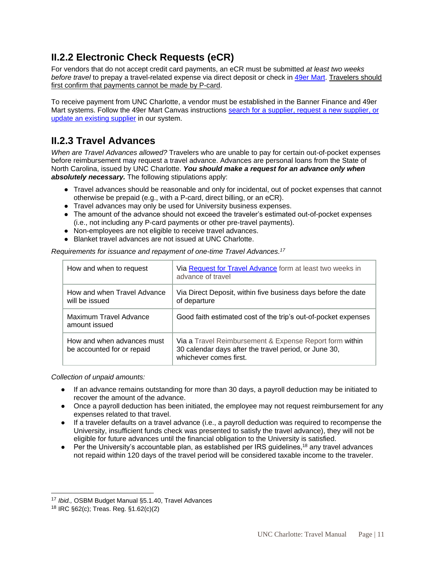## <span id="page-10-0"></span>**II.2.2 Electronic Check Requests (eCR)**

For vendors that do not accept credit card payments, an eCR must be submitted *at least two weeks before travel* to prepay a travel-related expense via direct deposit or check in [49er Mart.](https://49ermart.charlotte.edu/) Travelers should first confirm that payments cannot be made by P-card.

To receive payment from UNC Charlotte, a vendor must be established in the Banner Finance and 49er Mart systems. Follow the 49er Mart Canvas instructions [search for a supplier, request a new supplier, or](https://uncc.instructure.com/courses/44782/pages/search-for-a-supplier-request-new-supplier-existing-supplier-update?module_item_id=2372202)  [update an existing supplier](https://uncc.instructure.com/courses/44782/pages/search-for-a-supplier-request-new-supplier-existing-supplier-update?module_item_id=2372202) in our system.

### <span id="page-10-1"></span>**II.2.3 Travel Advances**

*When are Travel Advances allowed?* Travelers who are unable to pay for certain out-of-pocket expenses before reimbursement may request a travel advance. Advances are personal loans from the State of North Carolina, issued by UNC Charlotte. *You should make a request for an advance only when absolutely necessary.* The following stipulations apply:

- Travel advances should be reasonable and only for incidental, out of pocket expenses that cannot otherwise be prepaid (e.g., with a P-card, direct billing, or an eCR).
- Travel advances may only be used for University business expenses.
- The amount of the advance should not exceed the traveler's estimated out-of-pocket expenses (i.e., not including any P-card payments or other pre-travel payments).
- Non-employees are not eligible to receive travel advances.
- Blanket travel advances are not issued at UNC Charlotte.

How and when to request | Via [Request for Travel Advance](https://finance.charlotte.edu/resources/travel/travel-advance-request) form at least two weeks in advance of travel How and when Travel Advance will be issued Via Direct Deposit, within five business days before the date of departure Maximum Travel Advance amount issued Good faith estimated cost of the trip's out-of-pocket expenses How and when advances must be accounted for or repaid Via a Travel Reimbursement & Expense Report form within 30 calendar days after the travel period, or June 30, whichever comes first.

*Requirements for issuance and repayment of one-time Travel Advances.<sup>17</sup>*

*Collection of unpaid amounts:*

- If an advance remains outstanding for more than 30 days, a payroll deduction may be initiated to recover the amount of the advance.
- Once a payroll deduction has been initiated, the employee may not request reimbursement for any expenses related to that travel.
- If a traveler defaults on a travel advance (i.e., a payroll deduction was required to recompense the University, insufficient funds check was presented to satisfy the travel advance), they will not be eligible for future advances until the financial obligation to the University is satisfied.
- $\bullet$  Per the University's accountable plan, as established per IRS guidelines,<sup>18</sup> any travel advances not repaid within 120 days of the travel period will be considered taxable income to the traveler.

<sup>17</sup> *Ibid.,* OSBM Budget Manual §5.1.40, Travel Advances

<sup>18</sup> IRC §62(c); Treas. Reg. §1.62(c)(2)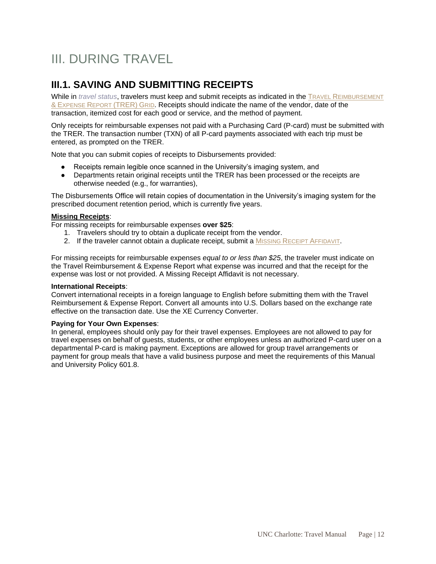# <span id="page-11-0"></span>III. DURING TRAVEL

## <span id="page-11-1"></span>**III.1. SAVING AND SUBMITTING RECEIPTS**

While in *travel status*, travelers must keep and submit receipts as indicated in the TRAVEL REIMBURSEMENT & EXPENSE REPORT (TRER) GRID. Receipts should indicate the name of the vendor, date of the transaction, itemized cost for each good or service, and the method of payment.

Only receipts for reimbursable expenses not paid with a Purchasing Card (P-card) must be submitted with the TRER. The transaction number (TXN) of all P-card payments associated with each trip must be entered, as prompted on the TRER.

Note that you can submit copies of receipts to Disbursements provided:

- Receipts remain legible once scanned in the University's imaging system, and
- Departments retain original receipts until the TRER has been processed or the receipts are otherwise needed (e.g., for warranties),

The Disbursements Office will retain copies of documentation in the University's imaging system for the prescribed document retention period, which is currently five years.

#### **Missing Receipts**:

For missing receipts for reimbursable expenses **over \$25**:

- 1. Travelers should try to obtain a duplicate receipt from the vendor.
- 2. If the traveler cannot obtain a duplicate receipt, submit a MISSING RECEIPT AFFIDAVIT.

For missing receipts for reimbursable expenses *equal to or less than \$25*, the traveler must indicate on the Travel Reimbursement & Expense Report what expense was incurred and that the receipt for the expense was lost or not provided. A Missing Receipt Affidavit is not necessary.

#### **International Receipts**:

Convert international receipts in a foreign language to English before submitting them with the Travel Reimbursement & Expense Report. Convert all amounts into U.S. Dollars based on the exchange rate effective on the transaction date. Use the [XE Currency Converter.](https://docs.google.com/document/d/1gmDqnjpV3Cu7kaSIt-fVOxBzseX5M4ul/edit#heading=h.39kk8xu)

#### **Paying for Your Own Expenses**:

In general, employees should only pay for their travel expenses. Employees are not allowed to pay for travel expenses on behalf of guests, students, or other employees unless an authorized P-card user on a departmental P-card is making payment. Exceptions are allowed for group travel arrangements or payment for group meals that have a valid business purpose and meet the requirements of this Manual and [University Policy 601.8.](#page-26-0)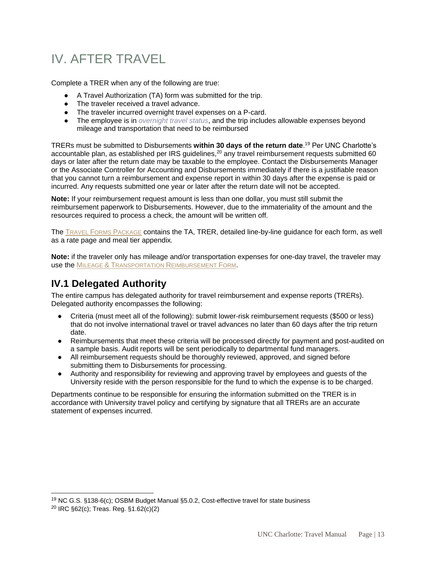# <span id="page-12-0"></span>IV. AFTER TRAVEL

Complete a TRER when any of the following are true:

- A Travel Authorization (TA) form was submitted for the trip.
- The traveler received a travel advance.
- The traveler incurred overnight travel expenses on a P-card.
- The employee is in *overnight travel status*, and the trip includes allowable expenses beyond mileage and transportation that need to be reimbursed

TRERs must be submitted to Disbursements **within 30 days of the return date**. <sup>19</sup> Per UNC Charlotte's accountable plan, as established per IRS quidelines,<sup>20</sup> any travel reimbursement requests submitted 60 days or later after the return date may be taxable to the employee. Contact the Disbursements Manager or the Associate Controller for Accounting and Disbursements immediately if there is a justifiable reason that you cannot turn a reimbursement and expense report in within 30 days after the expense is paid or incurred. Any requests submitted one year or later after the return date will not be accepted.

**Note:** If your reimbursement request amount is less than one dollar, you must still submit the reimbursement paperwork to Disbursements. However, due to the immateriality of the amount and the resources required to process a check, the amount will be written off.

The TRAVEL FORMS PACKAGE contains the TA, TRER, detailed line-by-line guidance for each form, as well as a rate page and meal tier appendix*.*

**Note:** if the traveler only has mileage and/or transportation expenses for one-day travel, the traveler may use the MILEAGE & TRANSPORTATION REIMBURSEMENT FORM.

### <span id="page-12-1"></span>**IV.1 Delegated Authority**

The entire campus has delegated authority for travel reimbursement and expense reports (TRERs). Delegated authority encompasses the following:

- Criteria (must meet all of the following): submit lower-risk reimbursement requests (\$500 or less) that do not involve international travel or travel advances no later than 60 days after the trip return date.
- Reimbursements that meet these criteria will be processed directly for payment and post-audited on a sample basis. Audit reports will be sent periodically to departmental fund managers.
- All reimbursement requests should be thoroughly reviewed, approved, and signed before submitting them to Disbursements for processing.
- Authority and responsibility for reviewing and approving travel by employees and guests of the University reside with the person responsible for the fund to which the expense is to be charged.

Departments continue to be responsible for ensuring the information submitted on the TRER is in accordance with University travel policy and certifying by signature that all TRERs are an accurate statement of expenses incurred.

<sup>&</sup>lt;sup>19</sup> NC G.S. §138-6(c); OSBM Budget Manual §5.0.2, Cost-effective travel for state business

 $^{20}$  IRC §62(c); Treas. Reg. §1.62(c)(2)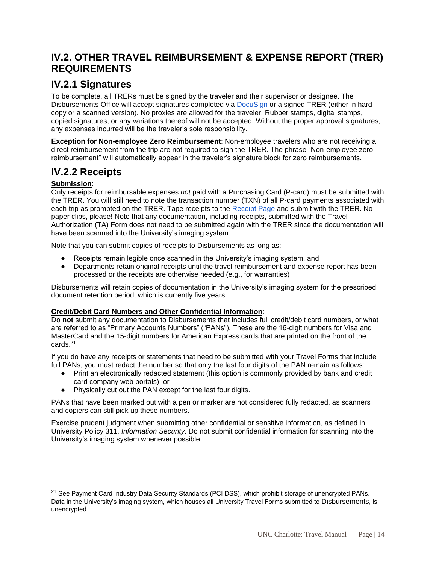### <span id="page-13-0"></span>**IV.2. OTHER TRAVEL REIMBURSEMENT & EXPENSE REPORT (TRER) REQUIREMENTS**

### <span id="page-13-1"></span>**IV.2.1 Signatures**

To be complete, all TRERs must be signed by the traveler and their supervisor or designee. The Disbursements Office will accept signatures completed via [DocuSign](https://spaces.charlotte.edu/pages/viewpage.action?pageId=73636512) or a signed TRER (either in hard copy or a scanned version). No proxies are allowed for the traveler. Rubber stamps, digital stamps, copied signatures, or any variations thereof will not be accepted. Without the proper approval signatures, any expenses incurred will be the traveler's sole responsibility.

**Exception for Non-employee Zero Reimbursement**: Non-employee travelers who are not receiving a direct reimbursement from the trip are not required to sign the TRER. The phrase "Non-employee zero reimbursement" will automatically appear in the traveler's signature block for zero reimbursements.

### <span id="page-13-2"></span>**IV.2.2 Receipts**

#### **Submission**:

l

Only receipts for reimbursable expenses *not* paid with a Purchasing Card (P-card) must be submitted with the TRER. You will still need to note the transaction number (TXN) of all P-card payments associated with each trip as prompted on the TRER. Tape receipts to the [Receipt Page](https://finance.charlotte.edu/resources/travel/receipt-page) and submit with the TRER. No paper clips, please! Note that any documentation, including receipts, submitted with the Travel Authorization (TA) Form does not need to be submitted again with the TRER since the documentation will have been scanned into the University's imaging system.

Note that you can submit copies of receipts to Disbursements as long as:

- Receipts remain legible once scanned in the University's imaging system, and
- Departments retain original receipts until the travel reimbursement and expense report has been processed or the receipts are otherwise needed (e.g., for warranties)

Disbursements will retain copies of documentation in the University's imaging system for the prescribed document retention period, which is currently five years.

#### **Credit/Debit Card Numbers and Other Confidential Information**:

Do **not** submit any documentation to Disbursements that includes full credit/debit card numbers, or what are referred to as "Primary Accounts Numbers" ("PANs"). These are the 16-digit numbers for Visa and MasterCard and the 15-digit numbers for American Express cards that are printed on the front of the cards.<sup>21</sup>

If you do have any receipts or statements that need to be submitted with your Travel Forms that include full PANs, you must redact the number so that only the last four digits of the PAN remain as follows:

- Print an electronically redacted statement (this option is commonly provided by bank and credit card company web portals), or
- Physically cut out the PAN except for the last four digits.

PANs that have been marked out with a pen or marker are not considered fully redacted, as scanners and copiers can still pick up these numbers.

Exercise prudent judgment when submitting other confidential or sensitive information, as defined in University Policy 311, *Information Security*. Do not submit confidential information for scanning into the University's imaging system whenever possible.

<sup>&</sup>lt;sup>21</sup> See Payment Card Industry Data Security Standards (PCI DSS), which prohibit storage of unencrypted PANs. Data in the University's imaging system, which houses all University Travel Forms submitted to Disbursements, is unencrypted.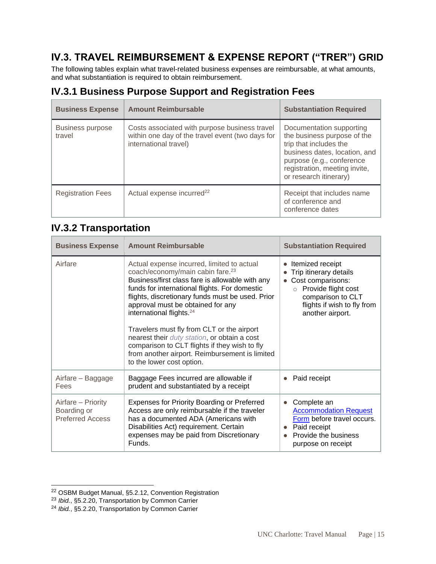## <span id="page-14-0"></span>**IV.3. TRAVEL REIMBURSEMENT & EXPENSE REPORT ("TRER") GRID**

The following tables explain what travel-related business expenses are reimbursable, at what amounts, and what substantiation is required to obtain reimbursement.

### <span id="page-14-1"></span>**IV.3.1 Business Purpose Support and Registration Fees**

| <b>Business Expense</b>           | <b>Amount Reimbursable</b>                                                                                                 | <b>Substantiation Required</b>                                                                                                                                                                             |
|-----------------------------------|----------------------------------------------------------------------------------------------------------------------------|------------------------------------------------------------------------------------------------------------------------------------------------------------------------------------------------------------|
| <b>Business purpose</b><br>travel | Costs associated with purpose business travel<br>within one day of the travel event (two days for<br>international travel) | Documentation supporting<br>the business purpose of the<br>trip that includes the<br>business dates, location, and<br>purpose (e.g., conference<br>registration, meeting invite,<br>or research itinerary) |
| <b>Registration Fees</b>          | Actual expense incurred <sup>22</sup>                                                                                      | Receipt that includes name<br>of conference and<br>conference dates                                                                                                                                        |

### <span id="page-14-2"></span>**IV.3.2 Transportation**

| <b>Business Expense</b>                                      | <b>Amount Reimbursable</b>                                                                                                                                                                                                                                                                                                                                                                                                                                                                                                                                    | <b>Substantiation Required</b>                                                                                                                                            |
|--------------------------------------------------------------|---------------------------------------------------------------------------------------------------------------------------------------------------------------------------------------------------------------------------------------------------------------------------------------------------------------------------------------------------------------------------------------------------------------------------------------------------------------------------------------------------------------------------------------------------------------|---------------------------------------------------------------------------------------------------------------------------------------------------------------------------|
| Airfare                                                      | Actual expense incurred, limited to actual<br>coach/economy/main cabin fare. <sup>23</sup><br>Business/first class fare is allowable with any<br>funds for international flights. For domestic<br>flights, discretionary funds must be used. Prior<br>approval must be obtained for any<br>international flights. <sup>24</sup><br>Travelers must fly from CLT or the airport<br>nearest their duty station, or obtain a cost<br>comparison to CLT flights if they wish to fly<br>from another airport. Reimbursement is limited<br>to the lower cost option. | Itemized receipt<br>Trip itinerary details<br>Cost comparisons:<br>Provide flight cost<br>$\circ$<br>comparison to CLT<br>flights if wish to fly from<br>another airport. |
| Airfare - Baggage<br>Fees                                    | Baggage Fees incurred are allowable if<br>prudent and substantiated by a receipt                                                                                                                                                                                                                                                                                                                                                                                                                                                                              | Paid receipt                                                                                                                                                              |
| Airfare - Priority<br>Boarding or<br><b>Preferred Access</b> | <b>Expenses for Priority Boarding or Preferred</b><br>Access are only reimbursable if the traveler<br>has a documented ADA (Americans with<br>Disabilities Act) requirement. Certain<br>expenses may be paid from Discretionary<br>Funds.                                                                                                                                                                                                                                                                                                                     | Complete an<br><b>Accommodation Request</b><br>Form before travel occurs.<br>Paid receipt<br>Provide the business<br>purpose on receipt                                   |

<sup>&</sup>lt;sup>22</sup> OSBM Budget Manual, §5.2.12, Convention Registration

<sup>23</sup> *Ibid.*, §5.2.20, Transportation by Common Carrier

<sup>24</sup> *Ibid.*, §5.2.20, Transportation by Common Carrier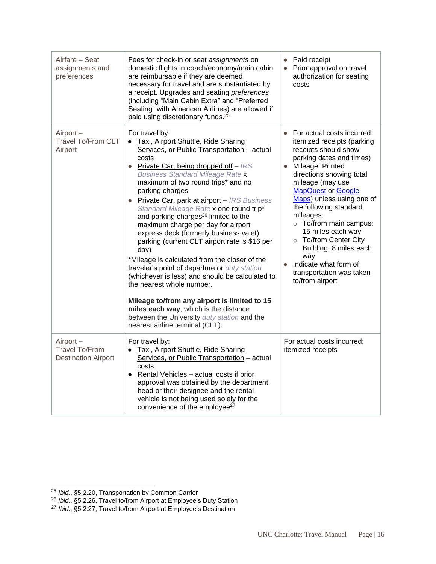| Airfare – Seat<br>assignments and<br>preferences                | Fees for check-in or seat assignments on<br>domestic flights in coach/economy/main cabin<br>are reimbursable if they are deemed<br>necessary for travel and are substantiated by<br>a receipt. Upgrades and seating preferences<br>(including "Main Cabin Extra" and "Preferred<br>Seating" with American Airlines) are allowed if<br>paid using discretionary funds. <sup>25</sup>                                                                                                                                                                                                                                                                                                                                                                                                                                                                                                                                 | • Paid receipt<br>Prior approval on travel<br>$\bullet$<br>authorization for seating<br>costs                                                                                                                                                                                                                                                                                                                                                                                     |
|-----------------------------------------------------------------|---------------------------------------------------------------------------------------------------------------------------------------------------------------------------------------------------------------------------------------------------------------------------------------------------------------------------------------------------------------------------------------------------------------------------------------------------------------------------------------------------------------------------------------------------------------------------------------------------------------------------------------------------------------------------------------------------------------------------------------------------------------------------------------------------------------------------------------------------------------------------------------------------------------------|-----------------------------------------------------------------------------------------------------------------------------------------------------------------------------------------------------------------------------------------------------------------------------------------------------------------------------------------------------------------------------------------------------------------------------------------------------------------------------------|
| $Airport -$<br><b>Travel To/From CLT</b><br>Airport             | For travel by:<br>Taxi, Airport Shuttle, Ride Sharing<br>Services, or Public Transportation - actual<br>costs<br>• Private Car, being dropped off $-$ IRS<br><b>Business Standard Mileage Rate x</b><br>maximum of two round trips* and no<br>parking charges<br>• Private Car, park at airport - IRS Business<br>Standard Mileage Rate x one round trip*<br>and parking charges <sup>26</sup> limited to the<br>maximum charge per day for airport<br>express deck (formerly business valet)<br>parking (current CLT airport rate is \$16 per<br>day)<br>*Mileage is calculated from the closer of the<br>traveler's point of departure or duty station<br>(whichever is less) and should be calculated to<br>the nearest whole number.<br>Mileage to/from any airport is limited to 15<br>miles each way, which is the distance<br>between the University duty station and the<br>nearest airline terminal (CLT). | • For actual costs incurred:<br>itemized receipts (parking<br>receipts should show<br>parking dates and times)<br>Mileage: Printed<br>$\bullet$<br>directions showing total<br>mileage (may use<br><b>MapQuest or Google</b><br>Maps) unless using one of<br>the following standard<br>mileages:<br>o To/from main campus:<br>15 miles each way<br>o To/from Center City<br>Building: 8 miles each<br>way<br>Indicate what form of<br>transportation was taken<br>to/from airport |
| Airport-<br><b>Travel To/From</b><br><b>Destination Airport</b> | For travel by:<br>Taxi, Airport Shuttle, Ride Sharing<br>$\bullet$<br>Services, or Public Transportation - actual<br>costs<br>• Rental Vehicles - actual costs if prior<br>approval was obtained by the department<br>head or their designee and the rental<br>vehicle is not being used solely for the<br>convenience of the employee <sup>27</sup>                                                                                                                                                                                                                                                                                                                                                                                                                                                                                                                                                                | For actual costs incurred:<br>itemized receipts                                                                                                                                                                                                                                                                                                                                                                                                                                   |

<sup>25</sup> *Ibid.*, §5.2.20, Transportation by Common Carrier

<sup>26</sup> *Ibid.*, §5.2.26, Travel to/from Airport at Employee's Duty Station

<sup>27</sup> *Ibid.*, §5.2.27, Travel to/from Airport at Employee's Destination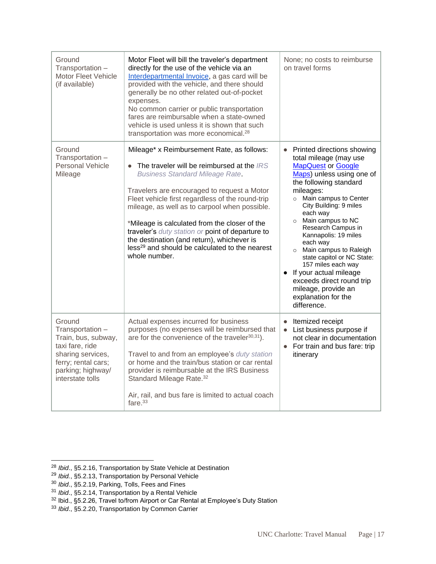| Ground<br>Transportation -<br><b>Motor Fleet Vehicle</b><br>(if available)                                                                                | Motor Fleet will bill the traveler's department<br>directly for the use of the vehicle via an<br>Interdepartmental Invoice, a gas card will be<br>provided with the vehicle, and there should<br>generally be no other related out-of-pocket<br>expenses.<br>No common carrier or public transportation<br>fares are reimbursable when a state-owned<br>vehicle is used unless it is shown that such<br>transportation was more economical. <sup>28</sup>                                                                | None; no costs to reimburse<br>on travel forms                                                                                                                                                                                                                                                                                                                                                                                                                                                                         |
|-----------------------------------------------------------------------------------------------------------------------------------------------------------|--------------------------------------------------------------------------------------------------------------------------------------------------------------------------------------------------------------------------------------------------------------------------------------------------------------------------------------------------------------------------------------------------------------------------------------------------------------------------------------------------------------------------|------------------------------------------------------------------------------------------------------------------------------------------------------------------------------------------------------------------------------------------------------------------------------------------------------------------------------------------------------------------------------------------------------------------------------------------------------------------------------------------------------------------------|
| Ground<br>Transportation -<br><b>Personal Vehicle</b><br>Mileage                                                                                          | Mileage* x Reimbursement Rate, as follows:<br>The traveler will be reimbursed at the IRS<br><b>Business Standard Mileage Rate.</b><br>Travelers are encouraged to request a Motor<br>Fleet vehicle first regardless of the round-trip<br>mileage, as well as to carpool when possible.<br>*Mileage is calculated from the closer of the<br>traveler's duty station or point of departure to<br>the destination (and return), whichever is<br>less <sup>29</sup> and should be calculated to the nearest<br>whole number. | Printed directions showing<br>total mileage (may use<br><b>MapQuest or Google</b><br>Maps) unless using one of<br>the following standard<br>mileages:<br>Main campus to Center<br>$\circ$<br>City Building: 9 miles<br>each way<br>o Main campus to NC<br>Research Campus in<br>Kannapolis: 19 miles<br>each way<br>o Main campus to Raleigh<br>state capitol or NC State:<br>157 miles each way<br>• If your actual mileage<br>exceeds direct round trip<br>mileage, provide an<br>explanation for the<br>difference. |
| Ground<br>Transportation -<br>Train, bus, subway,<br>taxi fare, ride<br>sharing services,<br>ferry; rental cars;<br>parking; highway/<br>interstate tolls | Actual expenses incurred for business<br>purposes (no expenses will be reimbursed that<br>are for the convenience of the traveler $30,31$ .<br>Travel to and from an employee's duty station<br>or home and the train/bus station or car rental<br>provider is reimbursable at the IRS Business<br>Standard Mileage Rate. <sup>32</sup><br>Air, rail, and bus fare is limited to actual coach<br>fare. $33$                                                                                                              | Itemized receipt<br>$\bullet$<br>• List business purpose if<br>not clear in documentation<br>For train and bus fare: trip<br>itinerary                                                                                                                                                                                                                                                                                                                                                                                 |

<sup>28</sup> *Ibid*., §5.2.16, Transportation by State Vehicle at Destination

<sup>29</sup> *Ibid.*, §5.2.13, Transportation by Personal Vehicle

<sup>30</sup> *Ibid*., §5.2.19, Parking, Tolls, Fees and Fines

<sup>31</sup> *Ibid*., §5.2.14, Transportation by a Rental Vehicle

 $32$  Ibid., §5.2.26, Travel to/from Airport or Car Rental at Employee's Duty Station

<sup>33</sup> *Ibid*., §5.2.20, Transportation by Common Carrier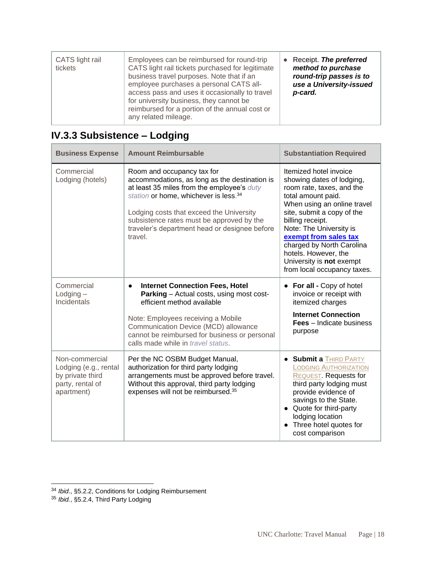| CATS light rail<br>tickets | Employees can be reimbursed for round-trip<br>CATS light rail tickets purchased for legitimate<br>business travel purposes. Note that if an<br>employee purchases a personal CATS all-<br>access pass and uses it occasionally to travel<br>for university business, they cannot be<br>reimbursed for a portion of the annual cost or<br>any related mileage. | Receipt. The preferred<br>method to purchase<br>round-trip passes is to<br>use a University-issued<br>p-card. |
|----------------------------|---------------------------------------------------------------------------------------------------------------------------------------------------------------------------------------------------------------------------------------------------------------------------------------------------------------------------------------------------------------|---------------------------------------------------------------------------------------------------------------|
|----------------------------|---------------------------------------------------------------------------------------------------------------------------------------------------------------------------------------------------------------------------------------------------------------------------------------------------------------------------------------------------------------|---------------------------------------------------------------------------------------------------------------|

| <b>Business Expense</b>                                                                       | <b>Amount Reimbursable</b>                                                                                                                                                                                                                                                                                                          | <b>Substantiation Required</b>                                                                                                                                                                                                                                                                                                                              |
|-----------------------------------------------------------------------------------------------|-------------------------------------------------------------------------------------------------------------------------------------------------------------------------------------------------------------------------------------------------------------------------------------------------------------------------------------|-------------------------------------------------------------------------------------------------------------------------------------------------------------------------------------------------------------------------------------------------------------------------------------------------------------------------------------------------------------|
| Commercial<br>Lodging (hotels)                                                                | Room and occupancy tax for<br>accommodations, as long as the destination is<br>at least 35 miles from the employee's duty<br>station or home, whichever is less. <sup>34</sup><br>Lodging costs that exceed the University<br>subsistence rates must be approved by the<br>traveler's department head or designee before<br>travel. | Itemized hotel invoice<br>showing dates of lodging,<br>room rate, taxes, and the<br>total amount paid.<br>When using an online travel<br>site, submit a copy of the<br>billing receipt.<br>Note: The University is<br>exempt from sales tax<br>charged by North Carolina<br>hotels. However, the<br>University is not exempt<br>from local occupancy taxes. |
| Commercial<br>$L$ odging $-$<br>Incidentals                                                   | <b>Internet Connection Fees, Hotel</b><br>$\bullet$<br>Parking - Actual costs, using most cost-<br>efficient method available<br>Note: Employees receiving a Mobile<br>Communication Device (MCD) allowance<br>cannot be reimbursed for business or personal<br>calls made while in travel status.                                  | • For all - Copy of hotel<br>invoice or receipt with<br>itemized charges<br><b>Internet Connection</b><br><b>Fees</b> – Indicate business<br>purpose                                                                                                                                                                                                        |
| Non-commercial<br>Lodging (e.g., rental<br>by private third<br>party, rental of<br>apartment) | Per the NC OSBM Budget Manual,<br>authorization for third party lodging<br>arrangements must be approved before travel.<br>Without this approval, third party lodging<br>expenses will not be reimbursed. <sup>35</sup>                                                                                                             | <b>• Submit a THIRD PARTY</b><br><b>LODGING AUTHORIZATION</b><br>REQUEST. Requests for<br>third party lodging must<br>provide evidence of<br>savings to the State.<br>• Quote for third-party<br>lodging location<br>Three hotel quotes for<br>cost comparison                                                                                              |

## <span id="page-17-0"></span>**IV.3.3 Subsistence – Lodging**

<sup>34</sup> *Ibid*., §5.2.2, Conditions for Lodging Reimbursement

<sup>35</sup> *Ibid.*, §5.2.4, Third Party Lodging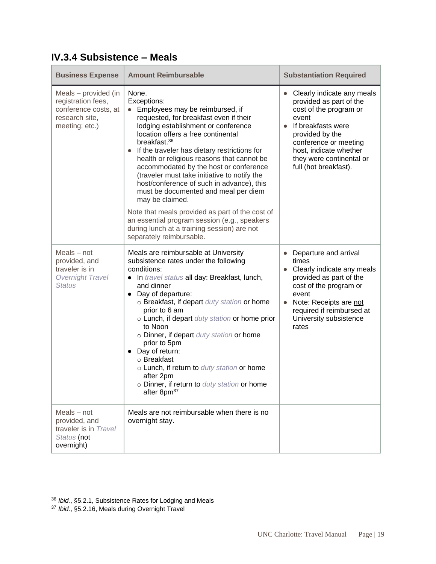| <b>Business Expense</b>                                                                                | <b>Amount Reimbursable</b>                                                                                                                                                                                                                                                                                                                                                                                                                                                                                                                                                                                                                                                                 | <b>Substantiation Required</b>                                                                                                                                                                                                            |
|--------------------------------------------------------------------------------------------------------|--------------------------------------------------------------------------------------------------------------------------------------------------------------------------------------------------------------------------------------------------------------------------------------------------------------------------------------------------------------------------------------------------------------------------------------------------------------------------------------------------------------------------------------------------------------------------------------------------------------------------------------------------------------------------------------------|-------------------------------------------------------------------------------------------------------------------------------------------------------------------------------------------------------------------------------------------|
| Meals - provided (in<br>registration fees,<br>conference costs, at<br>research site,<br>meeting; etc.) | None.<br>Exceptions:<br>Employees may be reimbursed, if<br>requested, for breakfast even if their<br>lodging establishment or conference<br>location offers a free continental<br>breakfast. <sup>36</sup><br>• If the traveler has dietary restrictions for<br>health or religious reasons that cannot be<br>accommodated by the host or conference<br>(traveler must take initiative to notify the<br>host/conference of such in advance), this<br>must be documented and meal per diem<br>may be claimed.<br>Note that meals provided as part of the cost of<br>an essential program session (e.g., speakers<br>during lunch at a training session) are not<br>separately reimbursable. | Clearly indicate any meals<br>provided as part of the<br>cost of the program or<br>event<br>If breakfasts were<br>provided by the<br>conference or meeting<br>host, indicate whether<br>they were continental or<br>full (hot breakfast). |
| Meals - not<br>provided, and<br>traveler is in<br><b>Overnight Travel</b><br><b>Status</b>             | Meals are reimbursable at University<br>subsistence rates under the following<br>conditions:<br>• In travel status all day: Breakfast, lunch,<br>and dinner<br>• Day of departure:<br>o Breakfast, if depart duty station or home<br>prior to 6 am<br>o Lunch, if depart duty station or home prior<br>to Noon<br>o Dinner, if depart duty station or home<br>prior to 5pm<br>• Day of return:<br>○ Breakfast<br>o Lunch, if return to duty station or home<br>after 2pm<br>o Dinner, if return to duty station or home<br>after 8pm <sup>37</sup>                                                                                                                                         | Departure and arrival<br>times<br>Clearly indicate any meals<br>provided as part of the<br>cost of the program or<br>event<br>Note: Receipts are not<br>required if reimbursed at<br>University subsistence<br>rates                      |
| Meals - not<br>provided, and<br>traveler is in Travel<br>Status (not<br>overnight)                     | Meals are not reimbursable when there is no<br>overnight stay.                                                                                                                                                                                                                                                                                                                                                                                                                                                                                                                                                                                                                             |                                                                                                                                                                                                                                           |

### <span id="page-18-0"></span>**IV.3.4 Subsistence – Meals**

<sup>36</sup> *Ibid.*, §5.2.1, Subsistence Rates for Lodging and Meals

<sup>37</sup> *Ibid.*, §5.2.16, Meals during Overnight Travel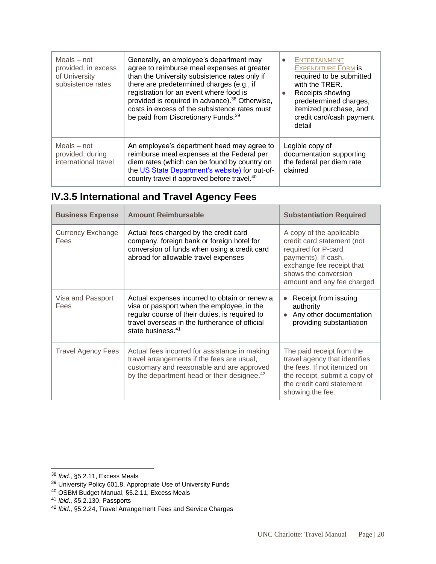| $Meals - not$<br>provided, in excess<br>of University<br>subsistence rates | Generally, an employee's department may<br>agree to reimburse meal expenses at greater<br>than the University subsistence rates only if<br>there are predetermined charges (e.g., if<br>registration for an event where food is<br>provided is required in advance). <sup>38</sup> Otherwise,<br>costs in excess of the subsistence rates must<br>be paid from Discretionary Funds. <sup>39</sup> | <b>ENTERTAINMENT</b><br><b>EXPENDITURE FORM IS</b><br>required to be submitted<br>with the TRER.<br>Receipts showing<br>predetermined charges,<br>itemized purchase, and<br>credit card/cash payment<br>detail |
|----------------------------------------------------------------------------|---------------------------------------------------------------------------------------------------------------------------------------------------------------------------------------------------------------------------------------------------------------------------------------------------------------------------------------------------------------------------------------------------|----------------------------------------------------------------------------------------------------------------------------------------------------------------------------------------------------------------|
| $Meals - not$<br>provided, during<br>international travel                  | An employee's department head may agree to<br>reimburse meal expenses at the Federal per<br>diem rates (which can be found by country on<br>the US State Department's website) for out-of-<br>country travel if approved before travel. <sup>40</sup>                                                                                                                                             | Legible copy of<br>documentation supporting<br>the federal per diem rate<br>claimed                                                                                                                            |

# <span id="page-19-0"></span>**IV.3.5 International and Travel Agency Fees**

| <b>Business Expense</b>          | <b>Amount Reimbursable</b>                                                                                                                                                                                                       | <b>Substantiation Required</b>                                                                                                                                                          |
|----------------------------------|----------------------------------------------------------------------------------------------------------------------------------------------------------------------------------------------------------------------------------|-----------------------------------------------------------------------------------------------------------------------------------------------------------------------------------------|
| <b>Currency Exchange</b><br>Fees | Actual fees charged by the credit card<br>company, foreign bank or foreign hotel for<br>conversion of funds when using a credit card<br>abroad for allowable travel expenses                                                     | A copy of the applicable<br>credit card statement (not<br>required for P-card<br>payments). If cash,<br>exchange fee receipt that<br>shows the conversion<br>amount and any fee charged |
| Visa and Passport<br>Fees        | Actual expenses incurred to obtain or renew a<br>visa or passport when the employee, in the<br>regular course of their duties, is required to<br>travel overseas in the furtherance of official<br>state business. <sup>41</sup> | Receipt from issuing<br>authority<br>Any other documentation<br>providing substantiation                                                                                                |
| <b>Travel Agency Fees</b>        | Actual fees incurred for assistance in making<br>travel arrangements if the fees are usual,<br>customary and reasonable and are approved<br>by the department head or their designee. <sup>42</sup>                              | The paid receipt from the<br>travel agency that identifies<br>the fees. If not itemized on<br>the receipt, submit a copy of<br>the credit card statement<br>showing the fee.            |

<sup>38</sup> *Ibid.*, §5.2.11, Excess Meals

<sup>&</sup>lt;sup>39</sup> University Policy 601.8, Appropriate Use of University Funds

<sup>&</sup>lt;sup>40</sup> OSBM Budget Manual, §5.2.11, Excess Meals

<sup>41</sup> *Ibid*., §5.2.130, Passports

<sup>42</sup> *Ibid*., §5.2.24, Travel Arrangement Fees and Service Charges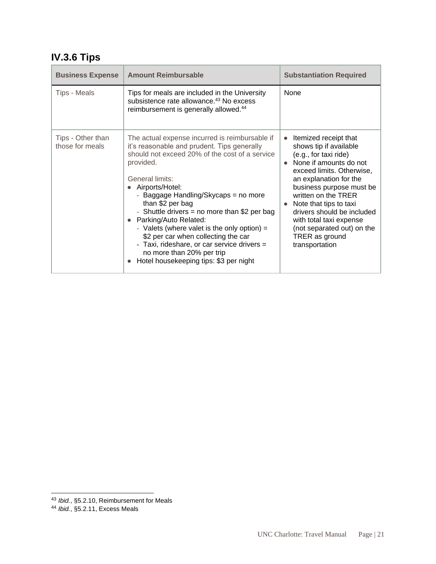# <span id="page-20-0"></span>**IV.3.6 Tips**

| <b>Business Expense</b>              | <b>Amount Reimbursable</b>                                                                                                                                                                                                                                                                                                                                                                                                                                                                                                                              | <b>Substantiation Required</b>                                                                                                                                                                                                                                                                                                                                                 |
|--------------------------------------|---------------------------------------------------------------------------------------------------------------------------------------------------------------------------------------------------------------------------------------------------------------------------------------------------------------------------------------------------------------------------------------------------------------------------------------------------------------------------------------------------------------------------------------------------------|--------------------------------------------------------------------------------------------------------------------------------------------------------------------------------------------------------------------------------------------------------------------------------------------------------------------------------------------------------------------------------|
| <b>Tips - Meals</b>                  | Tips for meals are included in the University<br>subsistence rate allowance. <sup>43</sup> No excess<br>reimbursement is generally allowed. <sup>44</sup>                                                                                                                                                                                                                                                                                                                                                                                               | None                                                                                                                                                                                                                                                                                                                                                                           |
| Tips - Other than<br>those for meals | The actual expense incurred is reimbursable if<br>it's reasonable and prudent. Tips generally<br>should not exceed 20% of the cost of a service<br>provided.<br>General limits:<br>Airports/Hotel:<br>- Baggage Handling/Skycaps = no more<br>than \$2 per bag<br>- Shuttle drivers = no more than \$2 per bag<br>• Parking/Auto Related:<br>- Valets (where valet is the only option) $=$<br>\$2 per car when collecting the car<br>- Taxi, rideshare, or car service drivers =<br>no more than 20% per trip<br>Hotel housekeeping tips: \$3 per night | Itemized receipt that<br>$\bullet$<br>shows tip if available<br>(e.g., for taxi ride)<br>None if amounts do not<br>exceed limits. Otherwise,<br>an explanation for the<br>business purpose must be<br>written on the TRER<br>Note that tips to taxi<br>drivers should be included<br>with total taxi expense<br>(not separated out) on the<br>TRER as ground<br>transportation |

<sup>43</sup> *Ibid.*, §5.2.10, Reimbursement for Meals

<sup>44</sup> *Ibid.*, §5.2.11, Excess Meals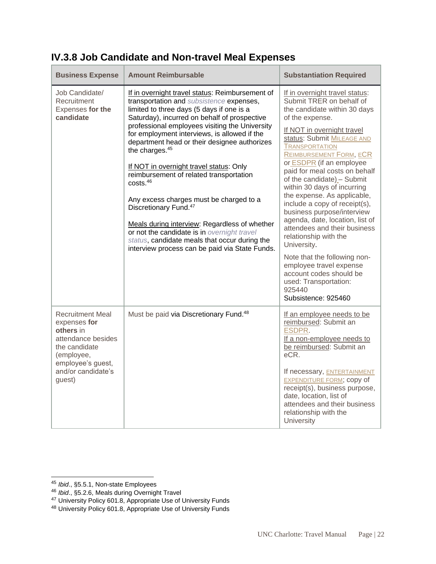| <b>Business Expense</b>                                                                                                                                        | <b>Amount Reimbursable</b>                                                                                                                                                                                                                                                                                                                                                                                                                                                                                                                                                                                                                                                                                                                                                | <b>Substantiation Required</b>                                                                                                                                                                                                                                                                                                                                                                                                                                                                                                                                                                                                                                                                                          |
|----------------------------------------------------------------------------------------------------------------------------------------------------------------|---------------------------------------------------------------------------------------------------------------------------------------------------------------------------------------------------------------------------------------------------------------------------------------------------------------------------------------------------------------------------------------------------------------------------------------------------------------------------------------------------------------------------------------------------------------------------------------------------------------------------------------------------------------------------------------------------------------------------------------------------------------------------|-------------------------------------------------------------------------------------------------------------------------------------------------------------------------------------------------------------------------------------------------------------------------------------------------------------------------------------------------------------------------------------------------------------------------------------------------------------------------------------------------------------------------------------------------------------------------------------------------------------------------------------------------------------------------------------------------------------------------|
| Job Candidate/<br>Recruitment<br>Expenses for the<br>candidate                                                                                                 | If in overnight travel status: Reimbursement of<br>transportation and subsistence expenses,<br>limited to three days (5 days if one is a<br>Saturday), incurred on behalf of prospective<br>professional employees visiting the University<br>for employment interviews, is allowed if the<br>department head or their designee authorizes<br>the charges. <sup>45</sup><br>If NOT in overnight travel status: Only<br>reimbursement of related transportation<br>costs. <sup>46</sup><br>Any excess charges must be charged to a<br>Discretionary Fund. <sup>47</sup><br>Meals during interview: Regardless of whether<br>or not the candidate is in overnight travel<br>status, candidate meals that occur during the<br>interview process can be paid via State Funds. | If in overnight travel status:<br>Submit TRER on behalf of<br>the candidate within 30 days<br>of the expense.<br>If NOT in overnight travel<br>status: Submit MILEAGE AND<br><b>TRANSPORTATION</b><br><b>REIMBURSEMENT FORM, ECR</b><br>or ESDPR (if an employee<br>paid for meal costs on behalf<br>of the candidate) - Submit<br>within 30 days of incurring<br>the expense. As applicable,<br>include a copy of receipt(s),<br>business purpose/interview<br>agenda, date, location, list of<br>attendees and their business<br>relationship with the<br>University.<br>Note that the following non-<br>employee travel expense<br>account codes should be<br>used: Transportation:<br>925440<br>Subsistence: 925460 |
| <b>Recruitment Meal</b><br>expenses for<br>others in<br>attendance besides<br>the candidate<br>(employee,<br>employee's guest,<br>and/or candidate's<br>guest) | Must be paid via Discretionary Fund. <sup>48</sup>                                                                                                                                                                                                                                                                                                                                                                                                                                                                                                                                                                                                                                                                                                                        | If an employee needs to be<br>reimbursed: Submit an<br>ESDPR.<br>If a non-employee needs to<br>be reimbursed: Submit an<br>eCR.<br>If necessary, ENTERTAINMENT<br><b>EXPENDITURE FORM; copy of</b><br>receipt(s), business purpose,<br>date, location, list of<br>attendees and their business<br>relationship with the<br>University                                                                                                                                                                                                                                                                                                                                                                                   |

## <span id="page-21-0"></span>**IV.3.8 Job Candidate and Non-travel Meal Expenses**

<sup>45</sup> *Ibid*., §5.5.1, Non-state Employees

<sup>46</sup> *Ibid*., §5.2.6, Meals during Overnight Travel

<sup>&</sup>lt;sup>47</sup> University Policy 601.8, Appropriate Use of University Funds

<sup>&</sup>lt;sup>48</sup> University Policy 601.8, Appropriate Use of University Funds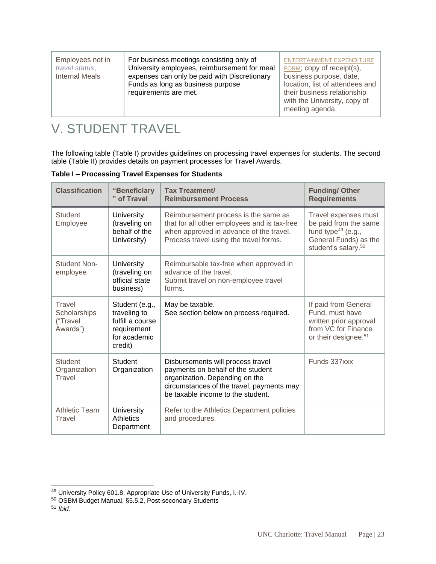| For business meetings consisting only of<br>Employees not in<br>University employees, reimbursement for meal<br>travel status,<br><b>Internal Meals</b><br>expenses can only be paid with Discretionary<br>Funds as long as business purpose<br>requirements are met. | <b>ENTERTAINMENT EXPENDITURE</b><br>FORM; copy of receipt(s),<br>business purpose, date,<br>location, list of attendees and<br>their business relationship<br>with the University, copy of<br>meeting agenda |
|-----------------------------------------------------------------------------------------------------------------------------------------------------------------------------------------------------------------------------------------------------------------------|--------------------------------------------------------------------------------------------------------------------------------------------------------------------------------------------------------------|
|-----------------------------------------------------------------------------------------------------------------------------------------------------------------------------------------------------------------------------------------------------------------------|--------------------------------------------------------------------------------------------------------------------------------------------------------------------------------------------------------------|

# <span id="page-22-0"></span>V. STUDENT TRAVEL

The following table (Table I) provides guidelines on processing travel expenses for students. The second table (Table II) provides details on payment processes for Travel Awards.

**Table I – Processing Travel Expenses for Students**

| <b>Classification</b>                          | "Beneficiary<br>" of Travel                                                                  | <b>Tax Treatment/</b><br><b>Reimbursement Process</b>                                                                                                                                      | <b>Funding/Other</b><br><b>Requirements</b>                                                                                        |
|------------------------------------------------|----------------------------------------------------------------------------------------------|--------------------------------------------------------------------------------------------------------------------------------------------------------------------------------------------|------------------------------------------------------------------------------------------------------------------------------------|
| <b>Student</b><br>Employee                     | University<br>(traveling on<br>behalf of the<br>University)                                  | Reimbursement process is the same as<br>that for all other employees and is tax-free<br>when approved in advance of the travel.<br>Process travel using the travel forms.                  | Travel expenses must<br>be paid from the same<br>fund type $49$ (e.g.,<br>General Funds) as the<br>student's salary. <sup>50</sup> |
| <b>Student Non-</b><br>employee                | University<br>(traveling on<br>official state<br>business)                                   | Reimbursable tax-free when approved in<br>advance of the travel.<br>Submit travel on non-employee travel<br>forms.                                                                         |                                                                                                                                    |
| Travel<br>Scholarships<br>("Travel<br>Awards") | Student (e.g.,<br>traveling to<br>fulfill a course<br>requirement<br>for academic<br>credit) | May be taxable.<br>See section below on process required.                                                                                                                                  | If paid from General<br>Fund, must have<br>written prior approval<br>from VC for Finance<br>or their designee. <sup>51</sup>       |
| <b>Student</b><br>Organization<br>Travel       | Student<br>Organization                                                                      | Disbursements will process travel<br>payments on behalf of the student<br>organization. Depending on the<br>circumstances of the travel, payments may<br>be taxable income to the student. | Funds 337xxx                                                                                                                       |
| <b>Athletic Team</b><br>Travel                 | University<br>Athletics<br>Department                                                        | Refer to the Athletics Department policies<br>and procedures.                                                                                                                              |                                                                                                                                    |

<sup>49</sup> University Policy 601.8, Appropriate Use of University Funds, I.-IV.

<sup>50</sup> OSBM Budget Manual, §5.5.2, Post-secondary Students

<sup>51</sup> *Ibid.*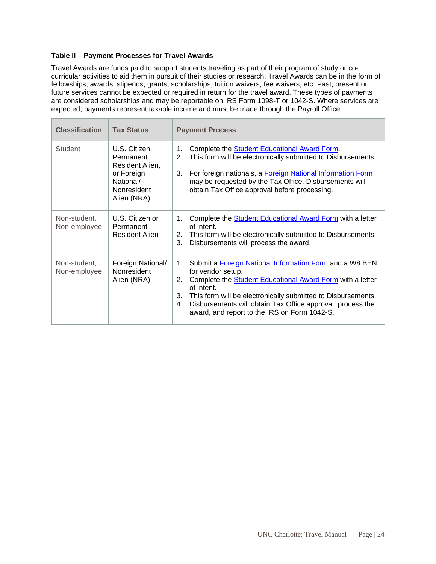#### **Table II – Payment Processes for Travel Awards**

Travel Awards are funds paid to support students traveling as part of their program of study or cocurricular activities to aid them in pursuit of their studies or research. Travel Awards can be in the form of fellowships, awards, stipends, grants, scholarships, tuition waivers, fee waivers, etc. Past, present or future services cannot be expected or required in return for the travel award. These types of payments are considered scholarships and may be reportable on IRS Form 1098-T or 1042-S. Where services are expected, payments represent taxable income and must be made through the Payroll Office.

| <b>Classification</b>        | <b>Tax Status</b>                                                                                      | <b>Payment Process</b>                                                                                                                                                                                                                                                                                                                                                    |
|------------------------------|--------------------------------------------------------------------------------------------------------|---------------------------------------------------------------------------------------------------------------------------------------------------------------------------------------------------------------------------------------------------------------------------------------------------------------------------------------------------------------------------|
| <b>Student</b>               | U.S. Citizen,<br>Permanent<br>Resident Alien,<br>or Foreign<br>National/<br>Nonresident<br>Alien (NRA) | Complete the Student Educational Award Form.<br>$\mathbf 1$ .<br>This form will be electronically submitted to Disbursements.<br>2.<br>For foreign nationals, a Foreign National Information Form<br>3.<br>may be requested by the Tax Office. Disbursements will<br>obtain Tax Office approval before processing.                                                        |
| Non-student,<br>Non-employee | U.S. Citizen or<br>Permanent<br>Resident Alien                                                         | Complete the Student Educational Award Form with a letter<br>1.<br>of intent.<br>This form will be electronically submitted to Disbursements.<br>2.<br>3.<br>Disbursements will process the award.                                                                                                                                                                        |
| Non-student,<br>Non-employee | Foreign National/<br>Nonresident<br>Alien (NRA)                                                        | Submit a Foreign National Information Form and a W8 BEN<br>$1_{-}$<br>for vendor setup.<br>2.<br>Complete the <b>Student Educational Award Form</b> with a letter<br>of intent.<br>3.<br>This form will be electronically submitted to Disbursements.<br>Disbursements will obtain Tax Office approval, process the<br>4.<br>award, and report to the IRS on Form 1042-S. |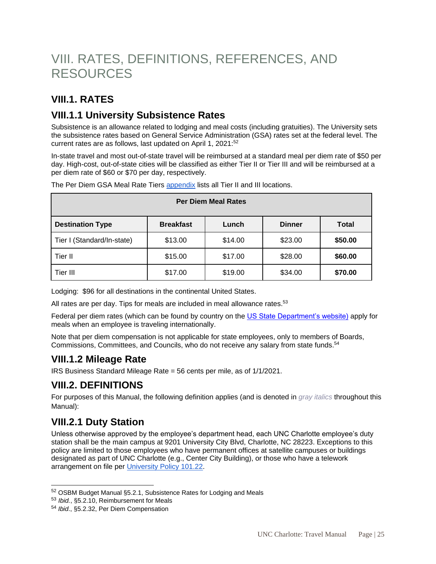# <span id="page-24-0"></span>VIII. RATES, DEFINITIONS, REFERENCES, AND RESOURCES

### <span id="page-24-1"></span>**VIII.1. RATES**

### <span id="page-24-2"></span>**VIII.1.1 University Subsistence Rates**

Subsistence is an allowance related to lodging and meal costs (including gratuities). The University sets the subsistence rates based on General Service Administration (GSA) rates set at the federal level. The current rates are as follows, last updated on April 1, 2021:<sup>52</sup>

In-state travel and most out-of-state travel will be reimbursed at a standard meal per diem rate of \$50 per day. High-cost, out-of-state cities will be classified as either Tier II or Tier III and will be reimbursed at a per diem rate of \$60 or \$70 per day, respectively.

| <b>Per Diem Meal Rates</b> |                  |         |               |              |  |
|----------------------------|------------------|---------|---------------|--------------|--|
| <b>Destination Type</b>    | <b>Breakfast</b> | Lunch   | <b>Dinner</b> | <b>Total</b> |  |
| Tier I (Standard/In-state) | \$13.00          | \$14.00 | \$23.00       | \$50.00      |  |
| Tier II                    | \$15.00          | \$17.00 | \$28.00       | \$60.00      |  |
| Tier III                   | \$17.00          | \$19.00 | \$34.00       | \$70.00      |  |

The Per Diem GSA Meal Rate Tiers [appendix](https://drive.google.com/file/d/1wlZ5HfkbQbZzTS23WOZFgefMA8ZDt8nQ/view?usp=sharing) lists all Tier II and III locations.

Lodging: \$96 for all destinations in the continental United States.

All rates are per day. Tips for meals are included in meal allowance rates.<sup>53</sup>

Federal per diem rates (which can be found by country on the [US State Department's website\)](http://aoprals.state.gov/content.asp?content_id=184&menu_id=78) apply for meals when an employee is traveling internationally.

Note that per diem compensation is not applicable for state employees, only to members of Boards, Commissions, Committees, and Councils, who do not receive any salary from state funds.<sup>54</sup>

### <span id="page-24-3"></span>**VIII.1.2 Mileage Rate**

IRS Business Standard Mileage Rate = 56 cents per mile, as of 1/1/2021.

### <span id="page-24-4"></span>**VIII.2. DEFINITIONS**

For purposes of this Manual, the following definition applies (and is denoted in *gray italics* throughout this Manual):

### <span id="page-24-5"></span>**VIII.2.1 Duty Station**

l

Unless otherwise approved by the employee's department head, each UNC Charlotte employee's duty station shall be the main campus at 9201 University City Blvd, Charlotte, NC 28223. Exceptions to this policy are limited to those employees who have permanent offices at satellite campuses or buildings designated as part of UNC Charlotte (e.g., Center City Building), or those who have a telework arrangement on file per [University Policy 101.22.](https://legal.charlotte.edu/policies/up-101.22)

<sup>52</sup> OSBM Budget Manual §5.2.1, Subsistence Rates for Lodging and Meals

<sup>53</sup> *Ibid.*, §5.2.10, Reimbursement for Meals

<sup>54</sup> *Ibid*., §5.2.32, Per Diem Compensation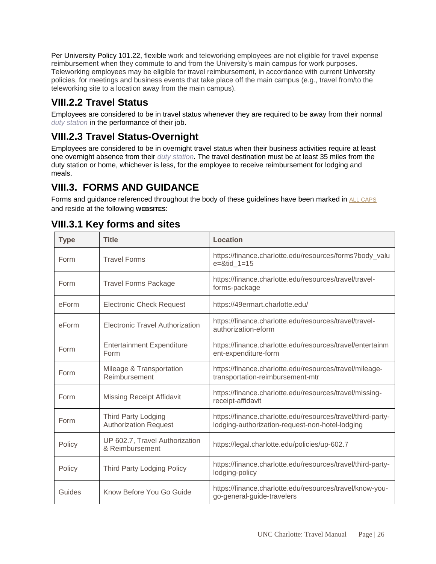Per University Policy 101.22, flexible work and teleworking employees are not eligible for travel expense reimbursement when they commute to and from the University's main campus for work purposes. Teleworking employees may be eligible for travel reimbursement, in accordance with current University policies, for meetings and business events that take place off the main campus (e.g., travel from/to the teleworking site to a location away from the main campus).

## <span id="page-25-0"></span>**VIII.2.2 Travel Status**

Employees are considered to be in travel status whenever they are required to be away from their normal *duty station* in the performance of their job.

## <span id="page-25-1"></span>**VIII.2.3 Travel Status-Overnight**

Employees are considered to be in overnight travel status when their business activities require at least one overnight absence from their *duty station*. The travel destination must be at least 35 miles from the duty station or home, whichever is less, for the employee to receive reimbursement for lodging and meals.

## <span id="page-25-2"></span>**VIII.3. FORMS AND GUIDANCE**

Forms and guidance referenced throughout the body of these guidelines have been marked in ALL CAPS and reside at the following **WEBSITES**:

| <b>Type</b> | <b>Title</b>                                               | <b>Location</b>                                                                                                |
|-------------|------------------------------------------------------------|----------------------------------------------------------------------------------------------------------------|
| Form        | <b>Travel Forms</b>                                        | https://finance.charlotte.edu/resources/forms?body_valu<br>$e = 8$ tid 1=15                                    |
| Form        | <b>Travel Forms Package</b>                                | https://finance.charlotte.edu/resources/travel/travel-<br>forms-package                                        |
| eForm       | <b>Electronic Check Request</b>                            | https://49ermart.charlotte.edu/                                                                                |
| eForm       | <b>Electronic Travel Authorization</b>                     | https://finance.charlotte.edu/resources/travel/travel-<br>authorization-eform                                  |
| Form        | <b>Entertainment Expenditure</b><br>Form                   | https://finance.charlotte.edu/resources/travel/entertainm<br>ent-expenditure-form                              |
| Form        | Mileage & Transportation<br>Reimbursement                  | https://finance.charlotte.edu/resources/travel/mileage-<br>transportation-reimbursement-mtr                    |
| Form        | <b>Missing Receipt Affidavit</b>                           | https://finance.charlotte.edu/resources/travel/missing-<br>receipt-affidavit                                   |
| Form        | <b>Third Party Lodging</b><br><b>Authorization Request</b> | https://finance.charlotte.edu/resources/travel/third-party-<br>lodging-authorization-request-non-hotel-lodging |
| Policy      | UP 602.7, Travel Authorization<br>& Reimbursement          | https://legal.charlotte.edu/policies/up-602.7                                                                  |
| Policy      | <b>Third Party Lodging Policy</b>                          | https://finance.charlotte.edu/resources/travel/third-party-<br>lodging-policy                                  |
| Guides      | Know Before You Go Guide                                   | https://finance.charlotte.edu/resources/travel/know-you-<br>go-general-guide-travelers                         |

## <span id="page-25-3"></span>**VIII.3.1 Key forms and sites**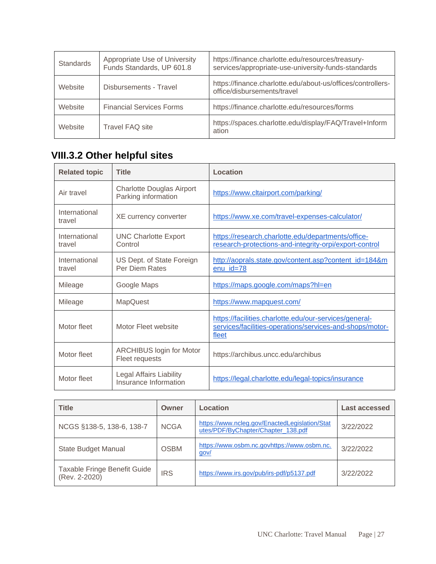| <b>Standards</b> | Appropriate Use of University<br>Funds Standards, UP 601.8 | https://finance.charlotte.edu/resources/treasury-<br>services/appropriate-use-university-funds-standards |
|------------------|------------------------------------------------------------|----------------------------------------------------------------------------------------------------------|
| Website          | Disbursements - Travel                                     | https://finance.charlotte.edu/about-us/offices/controllers-<br>office/disbursements/travel               |
| Website          | <b>Financial Services Forms</b>                            | https://finance.charlotte.edu/resources/forms                                                            |
| Website          | <b>Travel FAQ site</b>                                     | https://spaces.charlotte.edu/display/FAQ/Travel+Inform<br>ation                                          |

# <span id="page-26-0"></span>**VIII.3.2 Other helpful sites**

| <b>Related topic</b>    | <b>Title</b>                                            | Location                                                                                                                    |
|-------------------------|---------------------------------------------------------|-----------------------------------------------------------------------------------------------------------------------------|
| Air travel              | <b>Charlotte Douglas Airport</b><br>Parking information | https://www.cltairport.com/parking/                                                                                         |
| International<br>travel | XE currency converter                                   | https://www.xe.com/travel-expenses-calculator/                                                                              |
| International<br>travel | <b>UNC Charlotte Export</b><br>Control                  | https://research.charlotte.edu/departments/office-<br>research-protections-and-integrity-orpi/export-control                |
| International<br>travel | US Dept. of State Foreign<br>Per Diem Rates             | http://aoprals.state.gov/content.asp?content_id=184&m<br>$enu_id=78$                                                        |
| Mileage                 | Google Maps                                             | https://maps.google.com/maps?hl=en                                                                                          |
| Mileage                 | <b>MapQuest</b>                                         | https://www.mapquest.com/                                                                                                   |
| Motor fleet             | Motor Fleet website                                     | https://facilities.charlotte.edu/our-services/general-<br>services/facilities-operations/services-and-shops/motor-<br>fleet |
| Motor fleet             | <b>ARCHIBUS login for Motor</b><br>Fleet requests       | https://archibus.uncc.edu/archibus                                                                                          |
| Motor fleet             | Legal Affairs Liability<br>Insurance Information        | https://legal.charlotte.edu/legal-topics/insurance                                                                          |

| <b>Title</b>                                  | Owner       | Location                                                                            | Last accessed |
|-----------------------------------------------|-------------|-------------------------------------------------------------------------------------|---------------|
| NCGS §138-5, 138-6, 138-7                     | <b>NCGA</b> | https://www.ncleg.gov/EnactedLegislation/Stat<br>utes/PDF/ByChapter/Chapter 138.pdf | 3/22/2022     |
| <b>State Budget Manual</b>                    | <b>OSBM</b> | https://www.osbm.nc.govhttps://www.osbm.nc.<br>gov/                                 | 3/22/2022     |
| Taxable Fringe Benefit Guide<br>(Rev. 2-2020) | <b>IRS</b>  | https://www.irs.gov/pub/irs-pdf/p5137.pdf                                           | 3/22/2022     |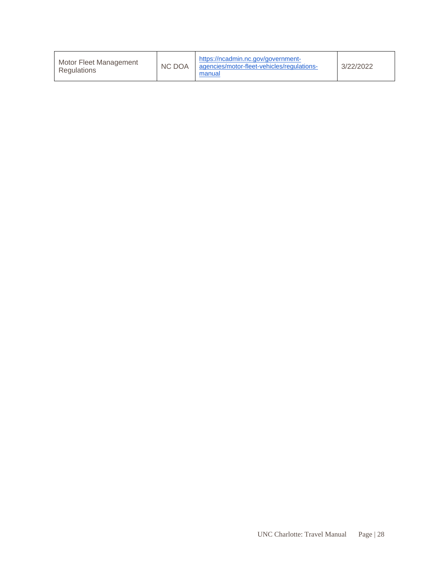<span id="page-27-0"></span>

| Motor Fleet Management<br>Regulations | <b>NC DOA</b> | https://ncadmin.nc.gov/government-<br>agencies/motor-fleet-vehicles/regulations-<br>manual | 3/22/2022 |
|---------------------------------------|---------------|--------------------------------------------------------------------------------------------|-----------|
|---------------------------------------|---------------|--------------------------------------------------------------------------------------------|-----------|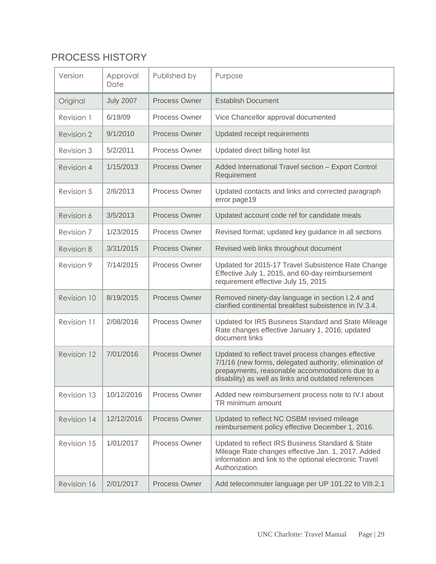# PROCESS HISTORY

| Version     | Approval<br>Date | Published by         | Purpose                                                                                                                                                                                                                  |
|-------------|------------------|----------------------|--------------------------------------------------------------------------------------------------------------------------------------------------------------------------------------------------------------------------|
| Original    | <b>July 2007</b> | Process Owner        | <b>Establish Document</b>                                                                                                                                                                                                |
| Revision 1  | 6/19/09          | Process Owner        | Vice Chancellor approval documented                                                                                                                                                                                      |
| Revision 2  | 9/1/2010         | <b>Process Owner</b> | Updated receipt requirements                                                                                                                                                                                             |
| Revision 3  | 5/2/2011         | Process Owner        | Updated direct billing hotel list                                                                                                                                                                                        |
| Revision 4  | 1/15/2013        | <b>Process Owner</b> | Added International Travel section - Export Control<br>Requirement                                                                                                                                                       |
| Revision 5  | 2/6/2013         | Process Owner        | Updated contacts and links and corrected paragraph<br>error page19                                                                                                                                                       |
| Revision 6  | 3/5/2013         | <b>Process Owner</b> | Updated account code ref for candidate meals                                                                                                                                                                             |
| Revision 7  | 1/23/2015        | <b>Process Owner</b> | Revised format; updated key guidance in all sections                                                                                                                                                                     |
| Revision 8  | 3/31/2015        | <b>Process Owner</b> | Revised web links throughout document                                                                                                                                                                                    |
| Revision 9  | 7/14/2015        | <b>Process Owner</b> | Updated for 2015-17 Travel Subsistence Rate Change<br>Effective July 1, 2015, and 60-day reimbursement<br>requirement effective July 15, 2015                                                                            |
| Revision 10 | 8/19/2015        | Process Owner        | Removed ninety-day language in section I.2.4 and<br>clarified continental breakfast subsistence in IV.3.4.                                                                                                               |
| Revision 11 | 2/08/2016        | Process Owner        | Updated for IRS Business Standard and State Mileage<br>Rate changes effective January 1, 2016; updated<br>document links                                                                                                 |
| Revision 12 | 7/01/2016        | <b>Process Owner</b> | Updated to reflect travel process changes effective<br>7/1/16 (new forms, delegated authority, elimination of<br>prepayments, reasonable accommodations due to a<br>disability) as well as links and outdated references |
| Revision 13 | 10/12/2016       | Process Owner        | Added new reimbursement process note to IV.I about<br>TR minimum amount                                                                                                                                                  |
| Revision 14 | 12/12/2016       | <b>Process Owner</b> | Updated to reflect NC OSBM revised mileage<br>reimbursement policy effective December 1, 2016.                                                                                                                           |
| Revision 15 | 1/01/2017        | Process Owner        | Updated to reflect IRS Business Standard & State<br>Mileage Rate changes effective Jan. 1, 2017. Added<br>information and link to the optional electronic Travel<br>Authorization.                                       |
| Revision 16 | 2/01/2017        | Process Owner        | Add telecommuter language per UP 101.22 to VIII.2.1                                                                                                                                                                      |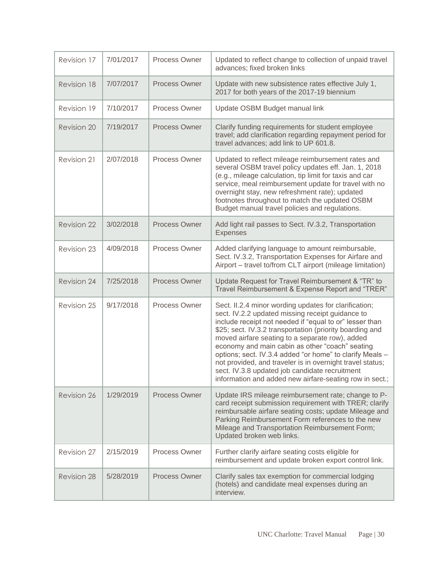| Revision 17        | 7/01/2017 | <b>Process Owner</b> | Updated to reflect change to collection of unpaid travel<br>advances; fixed broken links                                                                                                                                                                                                                                                                                                                                                                                                                                                                                     |
|--------------------|-----------|----------------------|------------------------------------------------------------------------------------------------------------------------------------------------------------------------------------------------------------------------------------------------------------------------------------------------------------------------------------------------------------------------------------------------------------------------------------------------------------------------------------------------------------------------------------------------------------------------------|
| Revision 18        | 7/07/2017 | Process Owner        | Update with new subsistence rates effective July 1,<br>2017 for both years of the 2017-19 biennium                                                                                                                                                                                                                                                                                                                                                                                                                                                                           |
| Revision 19        | 7/10/2017 | Process Owner        | Update OSBM Budget manual link                                                                                                                                                                                                                                                                                                                                                                                                                                                                                                                                               |
| Revision 20        | 7/19/2017 | <b>Process Owner</b> | Clarify funding requirements for student employee<br>travel; add clarification regarding repayment period for<br>travel advances; add link to UP 601.8.                                                                                                                                                                                                                                                                                                                                                                                                                      |
| Revision 21        | 2/07/2018 | Process Owner        | Updated to reflect mileage reimbursement rates and<br>several OSBM travel policy updates eff. Jan. 1, 2018<br>(e.g., mileage calculation, tip limit for taxis and car<br>service, meal reimbursement update for travel with no<br>overnight stay, new refreshment rate); updated<br>footnotes throughout to match the updated OSBM<br>Budget manual travel policies and regulations.                                                                                                                                                                                         |
| <b>Revision 22</b> | 3/02/2018 | <b>Process Owner</b> | Add light rail passes to Sect. IV.3.2, Transportation<br><b>Expenses</b>                                                                                                                                                                                                                                                                                                                                                                                                                                                                                                     |
| Revision 23        | 4/09/2018 | Process Owner        | Added clarifying language to amount reimbursable,<br>Sect. IV.3.2, Transportation Expenses for Airfare and<br>Airport - travel to/from CLT airport (mileage limitation)                                                                                                                                                                                                                                                                                                                                                                                                      |
| <b>Revision 24</b> | 7/25/2018 | Process Owner        | Update Request for Travel Reimbursement & "TR" to<br>Travel Reimbursement & Expense Report and "TRER"                                                                                                                                                                                                                                                                                                                                                                                                                                                                        |
| Revision 25        | 9/17/2018 | Process Owner        | Sect. II.2.4 minor wording updates for clarification;<br>sect. IV.2.2 updated missing receipt guidance to<br>include receipt not needed if "equal to or" lesser than<br>\$25; sect. IV.3.2 transportation (priority boarding and<br>moved airfare seating to a separate row), added<br>economy and main cabin as other "coach" seating<br>options; sect. IV.3.4 added "or home" to clarify Meals -<br>not provided, and traveler is in overnight travel status;<br>sect. IV.3.8 updated job candidate recruitment<br>information and added new airfare-seating row in sect.; |
| Revision 26        | 1/29/2019 | Process Owner        | Update IRS mileage reimbursement rate; change to P-<br>card receipt submission requirement with TRER; clarify<br>reimbursable airfare seating costs; update Mileage and<br>Parking Reimbursement Form references to the new<br>Mileage and Transportation Reimbursement Form;<br>Updated broken web links.                                                                                                                                                                                                                                                                   |
| Revision 27        | 2/15/2019 | Process Owner        | Further clarify airfare seating costs eligible for<br>reimbursement and update broken export control link.                                                                                                                                                                                                                                                                                                                                                                                                                                                                   |
| Revision 28        | 5/28/2019 | <b>Process Owner</b> | Clarify sales tax exemption for commercial lodging<br>(hotels) and candidate meal expenses during an<br>interview.                                                                                                                                                                                                                                                                                                                                                                                                                                                           |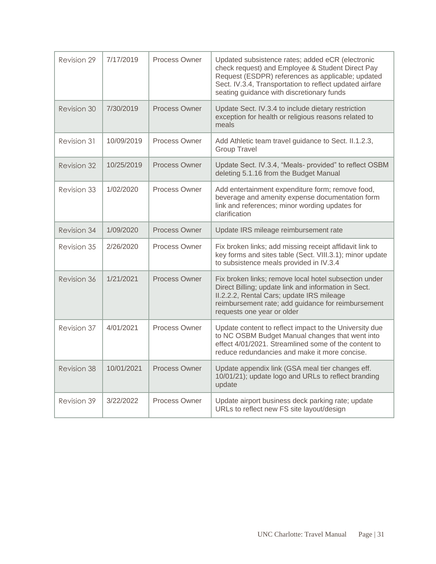| Revision 29 | 7/17/2019  | Process Owner        | Updated subsistence rates; added eCR (electronic<br>check request) and Employee & Student Direct Pay<br>Request (ESDPR) references as applicable; updated<br>Sect. IV.3.4, Transportation to reflect updated airfare<br>seating guidance with discretionary funds |  |  |
|-------------|------------|----------------------|-------------------------------------------------------------------------------------------------------------------------------------------------------------------------------------------------------------------------------------------------------------------|--|--|
| Revision 30 | 7/30/2019  | <b>Process Owner</b> | Update Sect. IV.3.4 to include dietary restriction<br>exception for health or religious reasons related to<br>meals                                                                                                                                               |  |  |
| Revision 31 | 10/09/2019 | Process Owner        | Add Athletic team travel guidance to Sect. II.1.2.3,<br><b>Group Travel</b>                                                                                                                                                                                       |  |  |
| Revision 32 | 10/25/2019 | <b>Process Owner</b> | Update Sect. IV.3.4, "Meals- provided" to reflect OSBM<br>deleting 5.1.16 from the Budget Manual                                                                                                                                                                  |  |  |
| Revision 33 | 1/02/2020  | Process Owner        | Add entertainment expenditure form; remove food,<br>beverage and amenity expense documentation form<br>link and references; minor wording updates for<br>clarification                                                                                            |  |  |
| Revision 34 | 1/09/2020  | Process Owner        | Update IRS mileage reimbursement rate                                                                                                                                                                                                                             |  |  |
| Revision 35 | 2/26/2020  | Process Owner        | Fix broken links; add missing receipt affidavit link to<br>key forms and sites table (Sect. VIII.3.1); minor update<br>to subsistence meals provided in IV.3.4                                                                                                    |  |  |
| Revision 36 | 1/21/2021  | Process Owner        | Fix broken links; remove local hotel subsection under<br>Direct Billing; update link and information in Sect.<br>II.2.2.2, Rental Cars; update IRS mileage<br>reimbursement rate; add guidance for reimbursement<br>requests one year or older                    |  |  |
| Revision 37 | 4/01/2021  | Process Owner        | Update content to reflect impact to the University due<br>to NC OSBM Budget Manual changes that went into<br>effect 4/01/2021. Streamlined some of the content to<br>reduce redundancies and make it more concise.                                                |  |  |
| Revision 38 | 10/01/2021 | Process Owner        | Update appendix link (GSA meal tier changes eff.<br>10/01/21); update logo and URLs to reflect branding<br>update                                                                                                                                                 |  |  |
| Revision 39 | 3/22/2022  | Process Owner        | Update airport business deck parking rate; update<br>URLs to reflect new FS site layout/design                                                                                                                                                                    |  |  |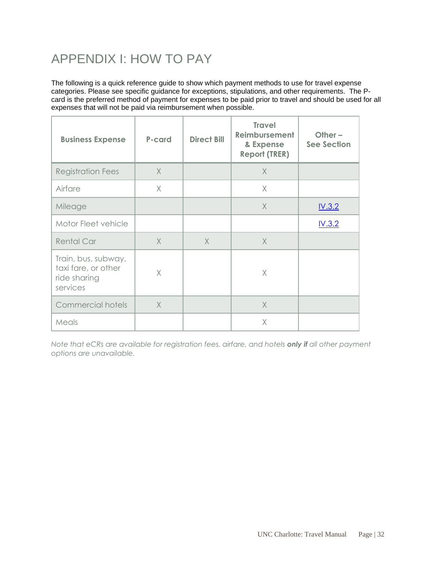# <span id="page-31-0"></span>APPENDIX I: HOW TO PAY

The following is a quick reference guide to show which payment methods to use for travel expense categories. Please see specific guidance for exceptions, stipulations, and other requirements. The Pcard is the preferred method of payment for expenses to be paid prior to travel and should be used for all expenses that will not be paid via reimbursement when possible.

| <b>Business Expense</b>                                                | P-card   | <b>Direct Bill</b> | <b>Travel</b><br>Reimbursement<br>& Expense<br><b>Report (TRER)</b> | Other $-$<br><b>See Section</b> |
|------------------------------------------------------------------------|----------|--------------------|---------------------------------------------------------------------|---------------------------------|
| <b>Registration Fees</b>                                               | $\times$ |                    | $\times$                                                            |                                 |
| Airfare                                                                | X        |                    | $\times$                                                            |                                 |
| Mileage                                                                |          |                    | $\times$                                                            | IV.3.2                          |
| Motor Fleet vehicle                                                    |          |                    |                                                                     | IV.3.2                          |
| <b>Rental Car</b>                                                      | $\times$ | $\times$           | $\times$                                                            |                                 |
| Train, bus, subway,<br>taxi fare, or other<br>ride sharing<br>services | X        |                    | X                                                                   |                                 |
| <b>Commercial hotels</b>                                               | $\times$ |                    | $\times$                                                            |                                 |
| Meals                                                                  |          |                    | X                                                                   |                                 |

*Note that eCRs are available for registration fees, airfare, and hotels only if all other payment options are unavailable.*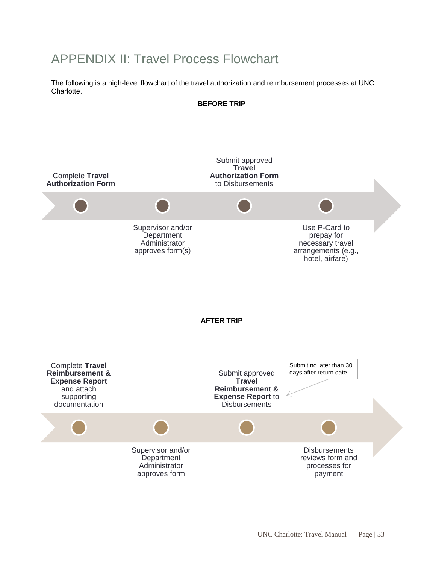# <span id="page-32-0"></span>APPENDIX II: Travel Process Flowchart

<span id="page-32-1"></span>The following is a high-level flowchart of the travel authorization and reimbursement processes at UNC Charlotte.

# **BEFORE TRIP**